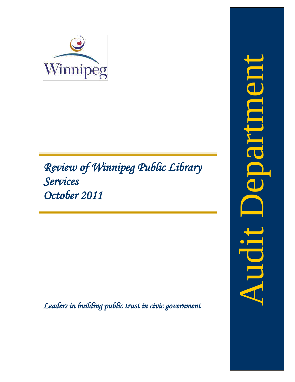

# *Review of Winnipeg Public Library Services October 2011*

<span id="page-0-0"></span>*Leaders in building public trust in civic government*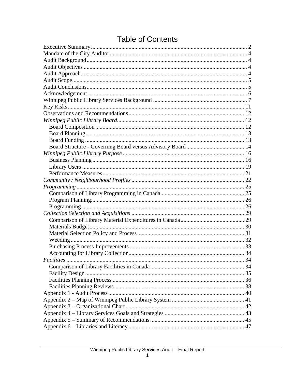# **Table of Contents**

| Facilities |  |
|------------|--|
|            |  |
|            |  |
|            |  |
|            |  |
|            |  |
|            |  |
|            |  |
|            |  |
|            |  |
|            |  |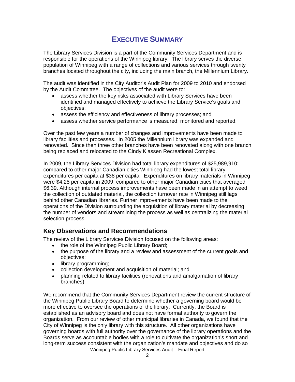# **EXECUTIVE SUMMARY**

<span id="page-3-0"></span>The Library Services Division is a part of the Community Services Department and is responsible for the operations of the Winnipeg library. The library serves the diverse population of Winnipeg with a range of collections and various services through twenty branches located throughout the city, including the main branch, the Millennium Library.

The audit was identified in the City Auditor's Audit Plan for 2009 to 2010 and endorsed by the Audit Committee. The objectives of the audit were to:

- assess whether the key risks associated with Library Services have been identified and managed effectively to achieve the Library Service's goals and objectives;
- assess the efficiency and effectiveness of library processes; and
- assess whether service performance is measured, monitored and reported.

Over the past few years a number of changes and improvements have been made to library facilities and processes. In 2005 the Millennium library was expanded and renovated. Since then three other branches have been renovated along with one branch being replaced and relocated to the Cindy Klassen Recreational Complex.

In 2009, the Library Services Division had total library expenditures of \$25,989,910; compared to other major Canadian cities Winnipeg had the lowest total library expenditures per capita at \$38 per capita. Expenditures on library materials in Winnipeg were \$4.25 per capita in 2009, compared to other major Canadian cities that averaged \$6.39. Although internal process improvements have been made in an attempt to weed the collection of outdated material, the collection turnover rate in Winnipeg still lags behind other Canadian libraries. Further improvements have been made to the operations of the Division surrounding the acquisition of library material by decreasing the number of vendors and streamlining the process as well as centralizing the material selection process.

### **Key Observations and Recommendations**

The review of the Library Services Division focused on the following areas:

- the role of the Winnipeg Public Library Board;
- the purpose of the library and a review and assessment of the current goals and objectives;
- library programming;
- collection development and acquisition of material; and
- planning related to library facilities (renovations and amalgamation of library branches)

We recommend that the Community Services Department review the current structure of the Winnipeg Public Library Board to determine whether a governing board would be more effective to oversee the operations of the library. Currently, the Board is established as an advisory board and does not have formal authority to govern the organization. From our review of other municipal libraries in Canada, we found that the City of Winnipeg is the only library with this structure. All other organizations have governing boards with full authority over the governance of the library operations and the Boards serve as accountable bodies with a role to cultivate the organization's short and long-term success consistent with the organization's mandate and objectives and do so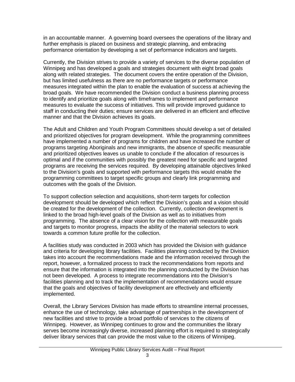in an accountable manner. A governing board oversees the operations of the library and further emphasis is placed on business and strategic planning, and embracing performance orientation by developing a set of performance indicators and targets.

Currently, the Division strives to provide a variety of services to the diverse population of Winnipeg and has developed a goals and strategies document with eight broad goals along with related strategies. The document covers the entire operation of the Division, but has limited usefulness as there are no performance targets or performance measures integrated within the plan to enable the evaluation of success at achieving the broad goals. We have recommended the Division conduct a business planning process to identify and prioritize goals along with timeframes to implement and performance measures to evaluate the success of initiatives. This will provide improved guidance to staff in conducting their duties; ensure services are delivered in an efficient and effective manner and that the Division achieves its goals.

The Adult and Children and Youth Program Committees should develop a set of detailed and prioritized objectives for program development. While the programming committees have implemented a number of programs for children and have increased the number of programs targeting Aboriginals and new immigrants, the absence of specific measurable and prioritized objectives leaves us unable to conclude if the allocation of resources is optimal and if the communities with possibly the greatest need for specific and targeted programs are receiving the services required. By developing attainable objectives linked to the Division's goals and supported with performance targets this would enable the programming committees to target specific groups and clearly link programming and outcomes with the goals of the Division.

To support collection selection and acquisitions, short-term targets for collection development should be developed which reflect the Division's goals and a vision should be created for the development of the collection. Currently, collection development is linked to the broad high-level goals of the Division as well as to initiatives from programming. The absence of a clear vision for the collection with measurable goals and targets to monitor progress, impacts the ability of the material selectors to work towards a common future profile for the collection.

A facilities study was conducted in 2003 which has provided the Division with guidance and criteria for developing library facilities. Facilities planning conducted by the Division takes into account the recommendations made and the information received through the report, however, a formalized process to track the recommendations from reports and ensure that the information is integrated into the planning conducted by the Division has not been developed. A process to integrate recommendations into the Division's facilities planning and to track the implementation of recommendations would ensure that the goals and objectives of facility development are effectively and efficiently implemented.

Overall, the Library Services Division has made efforts to streamline internal processes, enhance the use of technology, take advantage of partnerships in the development of new facilities and strive to provide a broad portfolio of services to the citizens of Winnipeg. However, as Winnipeg continues to grow and the communities the library serves become increasingly diverse, increased planning effort is required to strategically deliver library services that can provide the most value to the citizens of Winnipeg.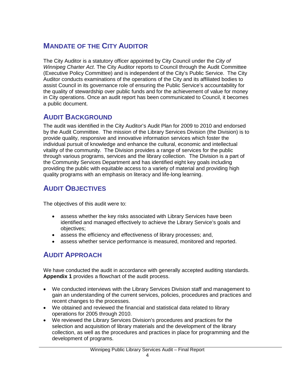# <span id="page-5-0"></span>**MANDATE OF THE CITY AUDITOR**

The City Auditor is a statutory officer appointed by City Council under the *City of Winnipeg Charter Act*. The City Auditor reports to Council through the Audit Committee (Executive Policy Committee) and is independent of the City's Public Service. The City Auditor conducts examinations of the operations of the City and its affiliated bodies to assist Council in its governance role of ensuring the Public Service's accountability for the quality of stewardship over public funds and for the achievement of value for money in City operations. Once an audit report has been communicated to Council, it becomes a public document.

# <span id="page-5-1"></span>**AUDIT BACKGROUND**

The audit was identified in the City Auditor's Audit Plan for 2009 to 2010 and endorsed by the Audit Committee. The mission of the Library Services Division (the Division) is to provide quality, responsive and innovative information services which foster the individual pursuit of knowledge and enhance the cultural, economic and intellectual vitality of the community. The Division provides a range of services for the public through various programs, services and the library collection. The Division is a part of the Community Services Department and has identified eight key goals including providing the public with equitable access to a variety of material and providing high quality programs with an emphasis on literacy and life-long learning.

# <span id="page-5-2"></span>**AUDIT OBJECTIVES**

The objectives of this audit were to:

- assess whether the key risks associated with Library Services have been identified and managed effectively to achieve the Library Service's goals and objectives;
- assess the efficiency and effectiveness of library processes; and,
- assess whether service performance is measured, monitored and reported.

# <span id="page-5-3"></span>**AUDIT APPROACH**

We have conducted the audit in accordance with generally accepted auditing standards. **Appendix 1** provides a flowchart of the audit process.

- We conducted interviews with the Library Services Division staff and management to gain an understanding of the current services, policies, procedures and practices and recent changes to the processes.
- We obtained and reviewed the financial and statistical data related to library operations for 2005 through 2010.
- We reviewed the Library Services Division's procedures and practices for the selection and acquisition of library materials and the development of the library collection, as well as the procedures and practices in place for programming and the development of programs.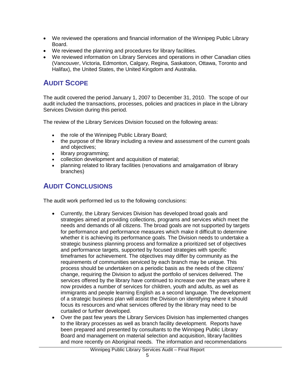- We reviewed the operations and financial information of the Winnipeg Public Library Board.
- We reviewed the planning and procedures for library facilities.
- We reviewed information on Library Services and operations in other Canadian cities (Vancouver, Victoria, Edmonton, Calgary, Regina, Saskatoon, Ottawa, Toronto and Halifax), the United States, the United Kingdom and Australia.

# <span id="page-6-0"></span>**AUDIT SCOPE**

The audit covered the period January 1, 2007 to December 31, 2010. The scope of our audit included the transactions, processes, policies and practices in place in the Library Services Division during this period.

The review of the Library Services Division focused on the following areas:

- the role of the Winnipeg Public Library Board;
- the purpose of the library including a review and assessment of the current goals and objectives;
- library programming;
- collection development and acquisition of material;
- planning related to library facilities (renovations and amalgamation of library branches)

### <span id="page-6-1"></span>**AUDIT CONCLUSIONS**

The audit work performed led us to the following conclusions:

- Currently, the Library Services Division has developed broad goals and strategies aimed at providing collections, programs and services which meet the needs and demands of all citizens. The broad goals are not supported by targets for performance and performance measures which make it difficult to determine whether it is achieving its performance goals. The Division needs to undertake a strategic business planning process and formalize a prioritized set of objectives and performance targets, supported by focused strategies with specific timeframes for achievement. The objectives may differ by community as the requirements of communities serviced by each branch may be unique. This process should be undertaken on a periodic basis as the needs of the citizens' change, requiring the Division to adjust the portfolio of services delivered. The services offered by the library have continued to increase over the years where it now provides a number of services for children, youth and adults, as well as immigrants and people learning English as a second language. The development of a strategic business plan will assist the Division on identifying where it should focus its resources and what services offered by the library may need to be curtailed or further developed.
- Over the past few years the Library Services Division has implemented changes to the library processes as well as branch facility development. Reports have been prepared and presented by consultants to the Winnipeg Public Library Board and management on material selection and acquisition, library facilities and more recently on Aboriginal needs. The information and recommendations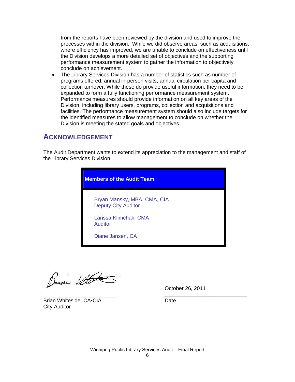from the reports have been reviewed by the division and used to improve the processes within the division. While we did observe areas, such as acquisitions, where efficiency has improved, we are unable to conclude on effectiveness until the Division develops a more detailed set of objectives and the supporting performance measurement system to gather the information to objectively conclude on achievement.

The Library Services Division has a number of statistics such as number of programs offered, annual in-person visits, annual circulation per capita and collection turnover. While these do provide useful information, they need to be expanded to form a fully functioning performance measurement system. Performance measures should provide information on all key areas of the Division, including library users, programs, collection and acquisitions and facilities. The performance measurement system should also include targets for the identified measures to allow management to conclude on whether the Division is meeting the stated goals and objectives.

### <span id="page-7-0"></span>**ACKNOWLEDGEMENT**

The Audit Department wants to extend its appreciation to the management and staff of the Library Services Division.

| <b>Members of the Audit Team</b>                          |  |  |  |  |  |
|-----------------------------------------------------------|--|--|--|--|--|
| Bryan Mansky, MBA, CMA, CIA<br><b>Deputy City Auditor</b> |  |  |  |  |  |
| Larissa Klimchak, CMA<br><b>Auditor</b>                   |  |  |  |  |  |
| Diane Jansen, CA                                          |  |  |  |  |  |

Buai With

October 26, 2011

\_\_\_\_\_\_\_\_\_\_\_\_\_\_\_\_\_\_\_\_\_\_\_\_\_ *\_\_\_\_\_\_\_\_\_\_\_\_\_\_\_\_\_\_\_\_\_\_\_\_\_\_\_\_* Brian Whiteside, CA•CIA Date City Auditor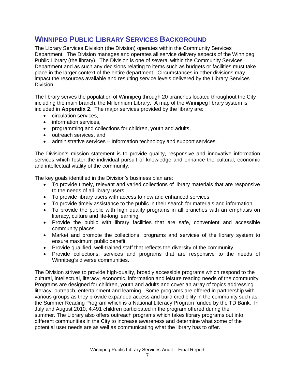### <span id="page-8-0"></span>**WINNIPEG PUBLIC LIBRARY SERVICES BACKGROUND**

The Library Services Division (the Division) operates within the Community Services Department. The Division manages and operates all service delivery aspects of the Winnipeg Public Library (the library). The Division is one of several within the Community Services Department and as such any decisions relating to items such as budgets or facilities must take place in the larger context of the entire department. Circumstances in other divisions may impact the resources available and resulting service levels delivered by the Library Services Division.

The library serves the population of Winnipeg through 20 branches located throughout the City including the main branch, the Millennium Library. A map of the Winnipeg library system is included in **Appendix 2**. The major services provided by the library are:

- **circulation services,**
- information services,
- programming and collections for children, youth and adults,
- outreach services, and
- administrative services Information technology and support services.

The Division's mission statement is to provide quality, responsive and innovative information services which foster the individual pursuit of knowledge and enhance the cultural, economic and intellectual vitality of the community.

The key goals identified in the Division's business plan are:

- To provide timely, relevant and varied collections of library materials that are responsive to the needs of all library users.
- To provide library users with access to new and enhanced services.
- To provide timely assistance to the public in their search for materials and information.
- To provide the public with high quality programs in all branches with an emphasis on literacy, culture and life-long learning.
- Provide the public with library facilities that are safe, convenient and accessible community places.
- Market and promote the collections, programs and services of the library system to ensure maximum public benefit.
- Provide qualified, well-trained staff that reflects the diversity of the community.
- Provide collections, services and programs that are responsive to the needs of Winnipeg's diverse communities.

The Division strives to provide high-quality, broadly accessible programs which respond to the cultural, intellectual, literacy, economic, information and leisure reading needs of the community. Programs are designed for children, youth and adults and cover an array of topics addressing literacy, outreach, entertainment and learning. Some programs are offered in partnership with various groups as they provide expanded access and build credibility in the community such as the Summer Reading Program which is a National Literacy Program funded by the TD Bank. In July and August 2010, 4,491 children participated in the program offered during the summer. The Library also offers outreach programs which takes library programs out into different communities in the City to increase awareness and determine what some of the potential user needs are as well as communicating what the library has to offer.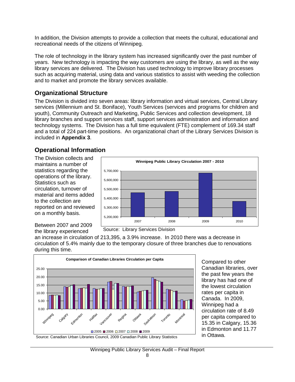In addition, the Division attempts to provide a collection that meets the cultural, educational and recreational needs of the citizens of Winnipeg.

The role of technology in the library system has increased significantly over the past number of years. New technology is impacting the way customers are using the library, as well as the way library services are delivered. The Division has used technology to improve library processes such as acquiring material, using data and various statistics to assist with weeding the collection and to market and promote the library services available.

### **Organizational Structure**

The Division is divided into seven areas: library information and virtual services, Central Library services (Millennium and St. Boniface), Youth Services (services and programs for children and youth), Community Outreach and Marketing, Public Services and collection development, 18 library branches and support services staff, support services administration and information and technology systems. The Division has a full time equivalent (FTE) complement of 169.34 staff and a total of 224 part-time positions. An organizational chart of the Library Services Division is included in **Appendix 3**.

### **Operational Information**

The Division collects and maintains a number of statistics regarding the operations of the library. Statistics such as circulation, turnover of material and items added to the collection are reported on and reviewed on a monthly basis.



Between 2007 and 2009 the library experienced

an increase in circulation of 213,395, a 3.9% increase. In 2010 there was a decrease in circulation of 5.4% mainly due to the temporary closure of three branches due to renovations during this time.



Compared to other Canadian libraries, over the past few years the library has had one of the lowest circulation rates per capita in Canada. In 2009, Winnipeg had a circulation rate of 8.49 per capita compared to 15.35 in Calgary, 15.36 in Edmonton and 11.77 in Ottawa.

Winnipeg Public Library Services Audit – Final Report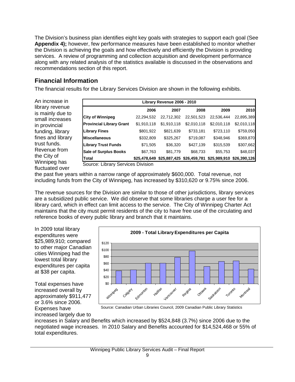The Division's business plan identifies eight key goals with strategies to support each goal (See **Appendix 4);** however, few performance measures have been established to monitor whether the Division is achieving the goals and how effectively and efficiently the Division is providing services. A review of programming and collection acquisition and development performance along with any related analysis of the statistics available is discussed in the observations and recommendations section of this report.

### **Financial Information**

The financial results for the Library Services Division are shown in the following exhibits.

An increase in library revenue is mainly due to small increases in provincial funding, library fines and library trust funds. Revenue from the City of Winnipeg has fluctuated over

| Library Revenue 2006 - 2010     |              |             |                           |              |              |  |
|---------------------------------|--------------|-------------|---------------------------|--------------|--------------|--|
|                                 | 2006         | 2007        | 2008                      | 2009         | 2010         |  |
| <b>City of Winnipeg</b>         | 22,294,532   | 22,712,302  | 22,501,523                | 22,536,444   | 22,895,389   |  |
| <b>Provincial Library Grant</b> | \$1,910,118  | \$1,910,118 | \$2,010,118               | \$2,010,118  | \$2,010,118  |  |
| <b>Library Fines</b>            | \$801,922    | \$821,639   | \$733,181                 | \$723,110    | \$759,050    |  |
| <b>IMiscellaneous</b>           | \$332,809    | \$325,267   | \$719,087                 | \$348,946    | \$369,870    |  |
| <b>Library Trust Funds</b>      | \$71,505     | \$36,320    | \$427,139                 | \$315,539    | \$307,662    |  |
| <b>Sale of Surplus Books</b>    | \$67,763     | \$81,779    | \$68,733                  | \$55,753     | \$48,037     |  |
| <b>Total</b>                    | \$25,478,649 |             | \$25,887,425 \$26,459,781 | \$25,989,910 | \$26,390,126 |  |

Source: Library Services Division

the past five years within a narrow range of approximately \$600,000. Total revenue, not including funds from the City of Winnipeg, has increased by \$310,620 or 9.75% since 2006.

The revenue sources for the Division are similar to those of other jurisdictions, library services are a subsidized public service. We did observe that some libraries charge a user fee for a library card, which in effect can limit access to the service. The City of Winnipeg Charter Act maintains that the city must permit residents of the city to have free use of the circulating and reference books of every public library and branch that it maintains.

In 2009 total library expenditures were \$25,989,910; compared to other major Canadian cities Winnipeg had the lowest total library expenditures per capita at \$38 per capita.

Total expenses have increased overall by approximately \$911,477 or 3.6% since 2006. Expenses have increased largely due to



Source: Canadian Urban Libraries Council, 2009 Canadian Public Library Statistics

increases in Salary and Benefits which increased by \$524,848 (3.7%) since 2006 due to the negotiated wage increases. In 2010 Salary and Benefits accounted for \$14,524,468 or 55% of total expenditures.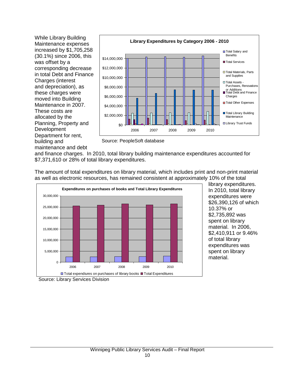While Library Building Maintenance expenses increased by \$1,705,258 (30.1%) since 2006, this was offset by a corresponding decrease in total Debt and Finance Charges (interest and depreciation), as these charges were moved into Building Maintenance in 2007. These costs are allocated by the Planning, Property and Development Department for rent, building and maintenance and debt



Source: PeopleSoft database

and finance charges. In 2010, total library building maintenance expenditures accounted for \$7,371,610 or 28% of total library expenditures.

The amount of total expenditures on library material, which includes print and non-print material as well as electronic resources, has remained consistent at approximately 10% of the total



library expenditures. In 2010, total library expenditures were \$26,390,126 of which 10.37% or \$2,735,892 was spent on library material. In 2006, \$2,410,911 or 9.46% of total library expenditures was spent on library material.

Source: Library Services Division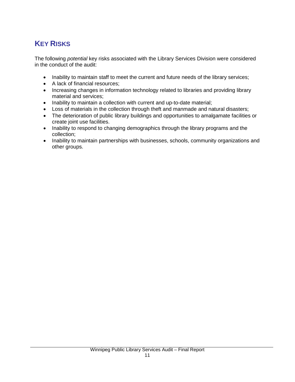# <span id="page-12-0"></span>**KEY RISKS**

The following *potential* key risks associated with the Library Services Division were considered in the conduct of the audit:

- Inability to maintain staff to meet the current and future needs of the library services;
- A lack of financial resources;
- Increasing changes in information technology related to libraries and providing library material and services;
- Inability to maintain a collection with current and up-to-date material;
- Loss of materials in the collection through theft and manmade and natural disasters;
- The deterioration of public library buildings and opportunities to amalgamate facilities or create joint use facilities.
- Inability to respond to changing demographics through the library programs and the collection;
- Inability to maintain partnerships with businesses, schools, community organizations and other groups.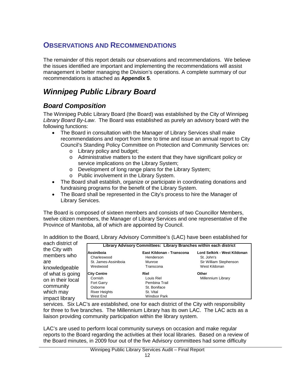# <span id="page-13-0"></span>**OBSERVATIONS AND RECOMMENDATIONS**

The remainder of this report details our observations and recommendations. We believe the issues identified are important and implementing the recommendations will assist management in better managing the Division's operations. A complete summary of our recommendations is attached as **Appendix 5**.

# <span id="page-13-1"></span>*Winnipeg Public Library Board*

### <span id="page-13-2"></span>*Board Composition*

The Winnipeg Public Library Board (the Board) was established by the City of Winnipeg *Library Board By-Law*. The Board was established as purely an advisory board with the following functions:

- The Board in consultation with the Manager of Library Services shall make recommendations and report from time to time and issue an annual report to City Council's Standing Policy Committee on Protection and Community Services on:
	- o Library policy and budget;
	- o Administrative matters to the extent that they have significant policy or service implications on the Library System;
	- o Development of long range plans for the Library System;
	- o Public involvement in the Library System.
- The Board shall establish, organize or participate in coordinating donations and fundraising programs for the benefit of the Library System.
- The Board shall be represented in the City's process to hire the Manager of Library Services.

The Board is composed of sixteen members and consists of two Councillor Members, twelve citizen members, the Manager of Library Services and one representative of the Province of Manitoba, all of which are appointed by Council.

In addition to the Board, Library Advisory Committee's (LAC) have been established for

| each district of                                                                  | Library Advisory Committees: Library Branches within each district                                |                                                                                         |                                                                                       |  |  |  |
|-----------------------------------------------------------------------------------|---------------------------------------------------------------------------------------------------|-----------------------------------------------------------------------------------------|---------------------------------------------------------------------------------------|--|--|--|
| the City with<br>members who<br>are<br>knowledgeable                              | Assiniboia<br>Charleswood<br>St. James-Assiniboia<br>Westwood                                     | East Kildonan - Transcona<br>Henderson<br>Munroe<br>Transcona                           | Lord Selkirk - West Kildonan<br>St. John's<br>Sir William Stephenson<br>West Kildonan |  |  |  |
| of what is going<br>on in their local<br>community<br>which may<br>impact library | <b>City Centre</b><br>Cornish<br><b>Fort Garry</b><br>Osborne<br><b>River Heights</b><br>West End | Riel<br>Louis Riel<br>Pembina Trail<br>St. Boniface<br>St. Vital<br><b>Windsor Park</b> | Other<br>Millennium Library                                                           |  |  |  |

services. Six LAC's are established, one for each district of the City with responsibility for three to five branches. The Millennium Library has its own LAC. The LAC acts as a liaison providing community participation within the library system.

LAC's are used to perform local community surveys on occasion and make regular reports to the Board regarding the activities at their local libraries. Based on a review of the Board minutes, in 2009 four out of the five Advisory committees had some difficulty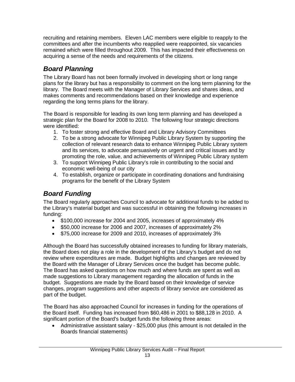recruiting and retaining members. Eleven LAC members were eligible to reapply to the committees and after the incumbents who reapplied were reappointed, six vacancies remained which were filled throughout 2009. This has impacted their effectiveness on acquiring a sense of the needs and requirements of the citizens.

# <span id="page-14-0"></span>*Board Planning*

The Library Board has not been formally involved in developing short or long range plans for the library but has a responsibility to comment on the long term planning for the library. The Board meets with the Manager of Library Services and shares ideas, and makes comments and recommendations based on their knowledge and experience regarding the long terms plans for the library.

The Board is responsible for leading its own long term planning and has developed a strategic plan for the Board for 2008 to 2010. The following four strategic directions were identified:

- 1. To foster strong and effective Board and Library Advisory Committees
- 2. To be a strong advocate for Winnipeg Public Library System by supporting the collection of relevant research data to enhance Winnipeg Public Library system and its services, to advocate persuasively on urgent and critical issues and by promoting the role, value, and achievements of Winnipeg Public Library system
- 3. To support Winnipeg Public Library's role in contributing to the social and economic well-being of our city
- 4. To establish, organize or participate in coordinating donations and fundraising programs for the benefit of the Library System

# <span id="page-14-1"></span>*Board Funding*

The Board regularly approaches Council to advocate for additional funds to be added to the Library's material budget and was successful in obtaining the following increases in funding:

- \$100,000 increase for 2004 and 2005, increases of approximately 4%
- \$50,000 increase for 2006 and 2007, increases of approximately 2%
- \$75,000 increase for 2009 and 2010, increases of approximately 3%

Although the Board has successfully obtained increases to funding for library materials, the Board does not play a role in the development of the Library's budget and do not review where expenditures are made. Budget highlights and changes are reviewed by the Board with the Manager of Library Services once the budget has become public. The Board has asked questions on how much and where funds are spent as well as made suggestions to Library management regarding the allocation of funds in the budget. Suggestions are made by the Board based on their knowledge of service changes, program suggestions and other aspects of library service are considered as part of the budget.

The Board has also approached Council for increases in funding for the operations of the Board itself. Funding has increased from \$60,486 in 2001 to \$88,128 in 2010. A significant portion of the Board's budget funds the following three areas:

• Administrative assistant salary - \$25,000 plus (this amount is not detailed in the Boards financial statements)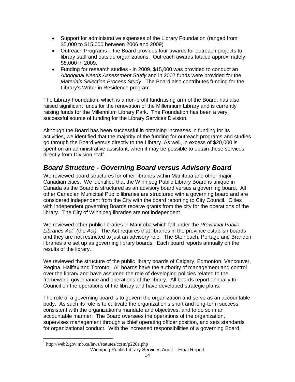- Support for administrative expenses of the Library Foundation (ranged from \$5,000 to \$15,000 between 2006 and 2009)
- Outreach Programs the Board provides four awards for outreach projects to library staff and outside organizations. Outreach awards totaled approximately \$8,000 in 2009.
- Funding for research studies in 2009, \$15,000 was provided to conduct an *Aboriginal Needs Assessment Study* and in 2007 funds were provided for the *Materials Selection Process Study*. The Board also contributes funding for the Library's Writer in Residence program.

The Library Foundation, which is a non-profit fundraising arm of the Board, has also raised significant funds for the renovation of the Millennium Library and is currently raising funds for the Millennium Library Park. The Foundation has been a very successful source of funding for the Library Services Division.

Although the Board has been successful in obtaining increases in funding for its activities, we identified that the majority of the funding for outreach programs and studies go through the Board versus directly to the Library. As well, in excess of \$20,000 is spent on an administrative assistant, when it may be possible to obtain these services directly from Division staff.

### <span id="page-15-0"></span>*Board Structure - Governing Board versus Advisory Board*

We reviewed board structures for other libraries within Manitoba and other major Canadian cities. We identified that the Winnipeg Public Library Board is unique in Canada as the Board is structured as an advisory board versus a governing board. All other Canadian Municipal Public libraries are structured with a governing board and are considered independent from the City with the board reporting to City Council. Cities with independent governing Boards receive grants from the city for the operations of the library. The City of Winnipeg libraries are not independent.

We reviewed other public libraries in Manitoba which fall under the *Provincial Public Libraries Act*[1](#page-0-0) *(*the *Act)*. The Act requires that libraries in the province establish boards and they are not restricted to just an advisory role. The Steinbach, Portage and Brandon libraries are set up as governing library boards. Each board reports annually on the results of the library.

We reviewed the structure of the public library boards of Calgary, Edmonton, Vancouver, Regina, Halifax and Toronto. All boards have the authority of management and control over the library and have assumed the role of developing policies related to the framework, governance and operations of the library. All boards report annually to Council on the operations of the library and have developed strategic plans.

The role of a governing board is to govern the organization and serve as an accountable body. As such its role is to cultivate the organization's short and long-term success consistent with the organization's mandate and objectives, and to do so in an accountable manner. The Board oversees the operations of the organization, supervises management through a chief operating officer position, and sets standards for organizational conduct. With the increased responsibilities of a governing Board,

<span id="page-15-1"></span><sup>&</sup>lt;sup>1</sup> http://web2.gov.mb.ca/laws/statutes/ccsm/p220e.php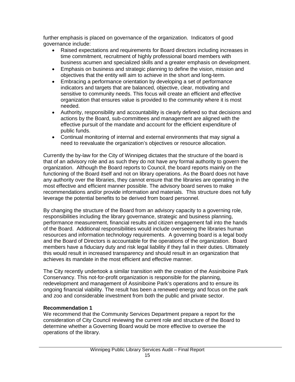further emphasis is placed on governance of the organization. Indicators of good governance include:

- Raised expectations and requirements for Board directors including increases in time commitment, recruitment of highly professional board members with business acumen and specialized skills and a greater emphasis on development.
- Emphasis on business and strategic planning to define the vision, mission and objectives that the entity will aim to achieve in the short and long-term.
- Embracing a performance orientation by developing a set of performance indicators and targets that are balanced, objective, clear, motivating and sensitive to community needs. This focus will create an efficient and effective organization that ensures value is provided to the community where it is most needed.
- Authority, responsibility and accountability is clearly defined so that decisions and actions by the Board, sub-committees and management are aligned with the effective pursuit of the mandate and account for the efficient expenditure of public funds.
- Continual monitoring of internal and external environments that may signal a need to reevaluate the organization's objectives or resource allocation.

Currently the by-law for the City of Winnipeg dictates that the structure of the board is that of an advisory role and as such they do not have any formal authority to govern the organization. Although the Board reports to Council, the board reports mainly on the functioning of the Board itself and not on library operations. As the Board does not have any authority over the libraries, they cannot ensure that the libraries are operating in the most effective and efficient manner possible. The advisory board serves to make recommendations and/or provide information and materials. This structure does not fully leverage the potential benefits to be derived from board personnel.

By changing the structure of the Board from an advisory capacity to a governing role, responsibilities including the library governance, strategic and business planning, performance measurement, financial results and citizen engagement fall into the hands of the Board. Additional responsibilities would include overseeing the libraries human resources and information technology requirements. A governing board is a legal body and the Board of Directors is accountable for the operations of the organization. Board members have a fiduciary duty and risk legal liability if they fail in their duties. Ultimately this would result in increased transparency and should result in an organization that achieves its mandate in the most efficient and effective manner.

The City recently undertook a similar transition with the creation of the Assiniboine Park Conservancy. This not-for-profit organization is responsible for the planning, redevelopment and management of Assiniboine Park's operations and to ensure its ongoing financial viability. The result has been a renewed energy and focus on the park and zoo and considerable investment from both the public and private sector.

### **Recommendation 1**

We recommend that the Community Services Department prepare a report for the consideration of City Council reviewing the current role and structure of the Board to determine whether a Governing Board would be more effective to oversee the operations of the library.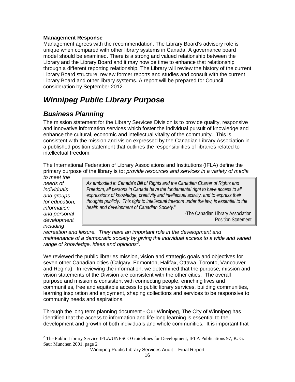### **Management Response**

Management agrees with the recommendation. The Library Board's advisory role is unique when compared with other library systems in Canada. A governance board model should be examined. There is a strong and valued relationship between the Library and the Library Board and it may now be time to enhance that relationship through a different reporting relationship. The Library will review the history of the current Library Board structure, review former reports and studies and consult with the current Library Board and other library systems. A report will be prepared for Council consideration by September 2012.

# <span id="page-17-0"></span>*Winnipeg Public Library Purpose*

### <span id="page-17-1"></span>*Business Planning*

The mission statement for the Library Services Division is to provide quality, responsive and innovative information services which foster the individual pursuit of knowledge and enhance the cultural, economic and intellectual vitality of the community. This is consistent with the mission and vision expressed by the Canadian Library Association in a published position statement that outlines the responsibilities of libraries related to intellectual freedom.

The International Federation of Library Associations and Institutions (IFLA) define the primary purpose of the library is to: *provide resources and services in a variety of media* 

*to meet the needs of individuals and groups for education, information and personal development including* 

*As embodied in Canada's Bill of Rights and the Canadian Charter of Rights and Freedom, all persons in Canada have the fundamental right to have access to all expressions of knowledge, creativity and intellectual activity, and to express their thoughts publicly*. *This right to intellectual freedom under the law, is essential to the health and development of Canadian Society.*"

-The Canadian Library Association Position Statement

*recreation and leisure. They have an important role in the development and maintenance of a democratic society by giving the individual access to a wide and varied range of knowledge, ideas and opinions[2](#page-15-1)* .

We reviewed the public libraries mission, vision and strategic goals and objectives for seven other Canadian cities (Calgary, Edmonton, Halifax, Ottawa, Toronto, Vancouver and Regina). In reviewing the information, we determined that the purpose, mission and vision statements of the Division are consistent with the other cities. The overall purpose and mission is consistent with connecting people, enriching lives and communities, free and equitable access to public library services, building communities, learning inspiration and enjoyment, shaping collections and services to be responsive to community needs and aspirations.

Through the long term planning document - Our Winnipeg, The City of Winnipeg has identified that the access to information and life-long learning is essential to the development and growth of both individuals and whole communities. It is important that

<span id="page-17-2"></span><sup>&</sup>lt;sup>2</sup> The Public Library Service IFLA/UNESCO Guidelines for Development, IFLA Publications 97, K. G. Saur Munchen 2001, page 2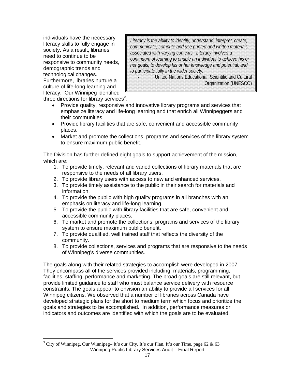individuals have the necessary literacy skills to fully engage in society. As a result, libraries need to continue to be responsive to community needs, demographic trends and technological changes. Furthermore, libraries nurture a culture of life-long learning and literacy. Our Winnipeg identified

*Literacy is the ability to identify, understand, interpret, create, communicate, compute and use printed and written materials associated with varying contexts. Literacy involves a continuum of learning to enable an individual to achieve his or her goals, to develop his or her knowledge and potential, and to participate fully in the wider society.* 

United Nations Educational, Scientific and Cultural Organization (UNESCO)

three directions for library services<sup>[3](#page-17-2)</sup>:

- Provide quality, responsive and innovative library programs and services that emphasize literacy and life-long learning and that enrich all Winnipeggers and their communities.
- Provide library facilities that are safe, convenient and accessible community places.
- Market and promote the collections, programs and services of the library system to ensure maximum public benefit.

The Division has further defined eight goals to support achievement of the mission, which are:

- 1. To provide timely, relevant and varied collections of library materials that are responsive to the needs of all library users.
- 2. To provide library users with access to new and enhanced services.
- 3. To provide timely assistance to the public in their search for materials and information.
- 4. To provide the public with high quality programs in all branches with an emphasis on literacy and life-long learning.
- 5. To provide the public with library facilities that are safe, convenient and accessible community places.
- 6. To market and promote the collections, programs and services of the library system to ensure maximum public benefit.
- 7. To provide qualified, well trained staff that reflects the diversity of the community.
- 8. To provide collections, services and programs that are responsive to the needs of Winnipeg's diverse communities.

The goals along with their related strategies to accomplish were developed in 2007. They encompass all of the services provided including: materials, programming, facilities, staffing, performance and marketing. The broad goals are still relevant, but provide limited guidance to staff who must balance service delivery with resource constraints. The goals appear to envision an ability to provide all services for all Winnipeg citizens. We observed that a number of libraries across Canada have developed strategic plans for the short to medium term which focus and prioritize the goals and strategies to be accomplished. In addition, performance measures or indicators and outcomes are identified with which the goals are to be evaluated.

<span id="page-18-0"></span><sup>&</sup>lt;sup>3</sup> City of Winnipeg, Our Winnipeg– It's our City, It's our Plan, It's our Time, page 62 & 63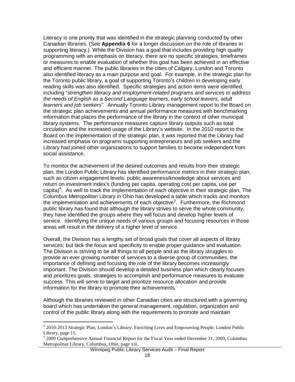Literacy is one priority that was identified in the strategic planning conducted by other Canadian libraries. (See **Appendix 6** for a longer discussion on the role of libraries in supporting literacy.) While the Division has a goal that includes providing high quality programming with an emphasis on literacy, there are no specific strategies, timeframes or measures to enable evaluation of whether this goal has been achieved in an effective and efficient manner. The public libraries in the cities of Calgary, London and Toronto also identified literacy as a main purpose and goal. For example, in the strategic plan for the Toronto public library, a goal of supporting Toronto's children in developing early reading skills was also identified. Specific strategies and action items were identified, including "*strengthen literacy and employment-related programs and services to address the needs of English as a Second Language learners, early school leavers, adult learners and job seekers".* Annually Toronto Library management report to the Board on the strategic plan achievements and annual performance measures with benchmarking information that places the performance of the library in the context of other municipal library systems. The performance measures capture library outputs such as total circulation and the increased usage of the Library's website. In the 2010 report to the Board on the implementation of the strategic plan, it was reported that the Library had increased emphasis on programs supporting entrepreneurs and job seekers and the Library had joined other organizations to support families to become independent from social assistance.

To monitor the achievement of the desired outcomes and results from their strategic plan, the London Public Library has identified performance metrics in their strategic plan, such as citizen engagement levels: public awareness/knowledge about services and return on investment index's (funding per capita, operating cost per capita, use per capita)<sup>[4](#page-18-0)</sup>. As well to track the implementation of each objective in their strategic plan, The Columbus Metropolitan Library in Ohio has developed a table which tracks and monitors the implementation and achievements of each objective<sup>[5](#page-19-0)</sup>. Furthermore, the Richmond public library has found that although the library strives to serve the whole community, they have identified the groups where they will focus and develop higher levels of service. Identifying the unique needs of various groups and focusing resources in those areas will result in the delivery of a higher level of service.

Overall, the Division has a lengthy set of broad goals that cover all aspects of library services; but lack the focus and specificity to enable proper guidance and evaluation. The Division is striving to be all things to all people and as the library struggles to provide an ever growing number of services to a diverse group of communities, the importance of defining and focusing the role of the library becomes increasingly important. The Division should develop a detailed business plan which clearly focuses and prioritizes goals, strategies to accomplish and performance measures to evaluate success. This will serve to target and prioritize resource allocation and provide information for the library to promote their achievements.

Although the libraries reviewed in other Canadian cities are structured with a governing board which has undertaken the general management, regulation, organization and control of the public library along with the requirements to promote and maintain

 <sup>4</sup> 2010-2013 Strategic Plan, London's Library: Enriching Lives and Empowering People, London Public Library, page 15.

<span id="page-19-0"></span><sup>5</sup> 2009 Comprehensive Annual Financial Report for the Fiscal Year ended December 31, 2009, Columbus Metropolitan Library, Columbus, Ohio, page xiii.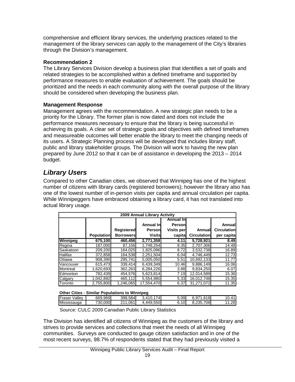comprehensive and efficient library services, the underlying practices related to the management of the library services can apply to the management of the City's libraries through the Division's management.

### **Recommendation 2**

The Library Services Division develop a business plan that identifies a set of goals and related strategies to be accomplished within a defined timeframe and supported by performance measures to enable evaluation of achievement. The goals should be prioritized and the needs in each community along with the overall purpose of the library should be considered when developing the business plan.

### **Management Response**

Management agrees with the recommendation. A new strategic plan needs to be a priority for the Library. The former plan is now dated and does not include the performance measures necessary to ensure that the library is being successful in achieving its goals. A clear set of strategic goals and objectives with defined timeframes and measureable outcomes will better enable the library to meet the changing needs of its users. A Strategic Planning process will be developed that includes library staff, public and library stakeholder groups. The Division will work to having the new plan prepared by June 2012 so that it can be of assistance in developing the 2013 – 2014 budget.

### <span id="page-20-0"></span>*Library Users*

Compared to other Canadian cities, we observed that Winnipeg has one of the highest number of citizens with library cards (registered borrowers); however the library also has one of the lowest number of in-person visits per capita and annual circulation per capita. While Winnipeggers have embraced obtaining a library card, it has not translated into actual library usage.

|           | 2009 Annual Library Activity |                   |               |                   |                    |                    |  |  |
|-----------|------------------------------|-------------------|---------------|-------------------|--------------------|--------------------|--|--|
|           |                              |                   |               | Annual In         |                    |                    |  |  |
|           |                              |                   | Annual Inl    | Personl           |                    | Annuall            |  |  |
|           |                              | <b>Registered</b> | Person        | <b>Visits per</b> | Annuall            | <b>Circulation</b> |  |  |
|           | <b>Population</b>            | <b>Borrowers</b>  | <b>Visits</b> | capital           | <b>Circulation</b> | per capita         |  |  |
| Winnipeg  | 675,100                      | 460,456           | 2,771,358     | 4.11              | 5.728.921          | 8.49               |  |  |
| Regina    | 187,000                      | 87.156            | 1.748.254     | 9.35              | 2.707.306          | 14.48              |  |  |
| Saskatoon | 209,200                      | 164.025           | 1.825.096     | 8.72              | 3.532.738          | 16.89              |  |  |
| Halifax   | 372,858                      | 164.538           | 2.251.504     | 6.04              | 4.746.449          | 12.73              |  |  |
| Ottawa    | 908.390                      | 295.741           | 5.005.050     | 5.51              | 10.692.133         | 11.77              |  |  |
| Vancouver | 615,473                      | 339.414           | 6.439.349     | 10.46             | 9,886,149          | 16.06              |  |  |
| Montreal  | 1.620.693                    | 362.263           | 6.284.226     | 3.88              | 9.834.250          | 6.07               |  |  |
| Edmonton  | 782,439                      | 454.576           | 5,623,814     | 7.19              | 12.014.589         | 15.36              |  |  |
| Calgary   | 1,042,892                    | 465,112           | 5.554.980     | 5.33              | 16.012.748         | 15.35              |  |  |
| Toronto   | 2,755,800                    | 1,246,065         | 17,554,470    | 6.37              | 31.271.072         | 11.35              |  |  |

#### **Other Cities - Similar Populations to Winnipeg**

| Fraser<br>Vallev | 669.969 | 399.584 | 3.410.174 | 5.09 | 6.971.618 | 10.41 |
|------------------|---------|---------|-----------|------|-----------|-------|
| Mississauga      | 730.000 | 211.061 | 4.449.550 | 6.10 | 8.235.708 | .28   |
|                  |         |         |           |      |           |       |

Source: CULC 2009 Canadian Public Library Statistics

The Division has identified all citizens of Winnipeg as the customers of the library and strives to provide services and collections that meet the needs of all Winnipeg communities. Surveys are conducted to gauge citizen satisfaction and in one of the most recent surveys, 98.7% of respondents stated that they had previously visited a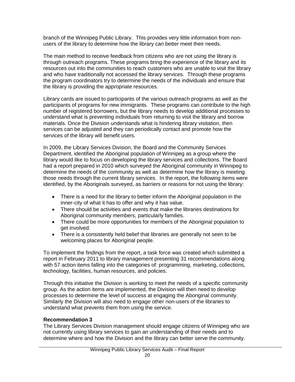branch of the Winnipeg Public Library. This provides very little information from nonusers of the library to determine how the library can better meet their needs.

The main method to receive feedback from citizens who are not using the library is through outreach programs. These programs bring the experience of the library and its resources out into the communities to reach customers who are unable to visit the library and who have traditionally not accessed the library services. Through these programs the program coordinators try to determine the needs of the individuals and ensure that the library is providing the appropriate resources.

Library cards are issued to participants of the various outreach programs as well as the participants of programs for new immigrants. These programs can contribute to the high number of registered borrowers, but the library needs to develop additional processes to understand what is preventing individuals from returning to visit the library and borrow materials. Once the Division understands what is hindering library visitation, then services can be adjusted and they can periodically contact and promote how the services of the library will benefit users.

In 2009, the Library Services Division, the Board and the Community Services Department, identified the Aboriginal population of Winnipeg as a group where the library would like to focus on developing the library services and collections. The Board had a report prepared in 2010 which surveyed the Aboriginal community in Winnipeg to determine the needs of the community as well as determine how the library is meeting those needs through the current library services. In the report, the following items were identified, by the Aboriginals surveyed, as barriers or reasons for not using the library:

- There is a need for the library to better inform the Aboriginal population in the inner-city of what it has to offer and why it has value.
- There should be activities and events that make the libraries destinations for Aboriginal community members, particularly families.
- There could be more opportunities for members of the Aboriginal population to get involved.
- There is a consistently held belief that libraries are generally not seen to be welcoming places for Aboriginal people.

To implement the findings from the report, a task force was created which submitted a report in February 2011 to library management presenting 31 recommendations along with 57 action items falling into the categories of: programming, marketing, collections, technology, facilities, human resources, and policies.

Through this initiative the Division is working to meet the needs of a specific community group. As the action items are implemented, the Division will then need to develop processes to determine the level of success at engaging the Aboriginal community. Similarly the Division will also need to engage other non-users of the libraries to understand what prevents them from using the service.

#### **Recommendation 3**

The Library Services Division management should engage citizens of Winnipeg who are not currently using library services to gain an understanding of their needs and to determine where and how the Division and the library can better serve the community.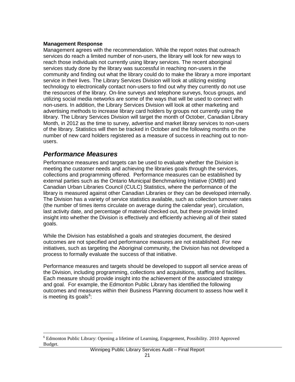#### **Management Response**

Management agrees with the recommendation. While the report notes that outreach services do reach a limited number of non-users, the library will look for new ways to reach those individuals not currently using library services. The recent aboriginal services study done by the library was successful in reaching non-users in the community and finding out what the library could do to make the library a more important service in their lives. The Library Services Division will look at utilizing existing technology to electronically contact non-users to find out why they currently do not use the resources of the library. On-line surveys and telephone surveys, focus groups, and utilizing social media networks are some of the ways that will be used to connect with non-users. In addition, the Library Services Division will look at other marketing and advertising methods to increase library card holders by groups not currently using the library. The Library Services Division will target the month of October, Canadian Library Month, in 2012 as the time to survey, advertise and market library services to non-users of the library. Statistics will then be tracked in October and the following months on the number of new card holders registered as a measure of success in reaching out to nonusers.

### <span id="page-22-0"></span>*Performance Measures*

Performance measures and targets can be used to evaluate whether the Division is meeting the customer needs and achieving the libraries goals through the services, collections and programming offered. Performance measures can be established by external parties such as the Ontario Municipal Benchmarking Initiative (OMBI) and Canadian Urban Libraries Council (CULC) Statistics, where the performance of the library is measured against other Canadian Libraries or they can be developed internally. The Division has a variety of service statistics available, such as collection turnover rates (the number of times items circulate on average during the calendar year), circulation, last activity date, and percentage of material checked out, but these provide limited insight into whether the Division is effectively and efficiently achieving all of their stated goals.

While the Division has established a goals and strategies document, the desired outcomes are not specified and performance measures are not established. For new initiatives, such as targeting the Aboriginal community, the Division has not developed a process to formally evaluate the success of that initiative.

Performance measures and targets should be developed to support all service areas of the Division, including programming, collections and acquisitions, staffing and facilities. Each measure should provide insight into the achievement of the associated strategy and goal. For example, the Edmonton Public Library has identified the following outcomes and measures within their Business Planning document to assess how well it is meeting its goals<sup>[6](#page-19-0)</sup>:

<span id="page-22-1"></span> <sup>6</sup> Edmonton Public Library: Opening a lifetime of Learning, Engagement, Possibility. 2010 Approved Budget.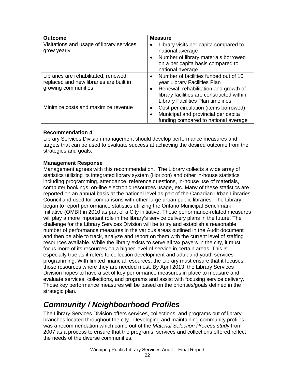| <b>Outcome</b>                                                                                          | <b>Measure</b>                                                                                                                                                                                          |
|---------------------------------------------------------------------------------------------------------|---------------------------------------------------------------------------------------------------------------------------------------------------------------------------------------------------------|
| Visitations and usage of library services<br>grow yearly                                                | Library visits per capita compared to<br>national average<br>Number of library materials borrowed<br>on a per capita basis compared to<br>national average                                              |
| Libraries are rehabilitated, renewed,<br>replaced and new libraries are built in<br>growing communities | Number of facilities funded out of 10<br>year Library Facilities Plan<br>Renewal, rehabilitation and growth of<br>library facilities are constructed within<br><b>Library Facilities Plan timelines</b> |
| Minimize costs and maximize revenue                                                                     | Cost per circulation (items borrowed)<br>Municipal and provincial per capita<br>funding compared to national average                                                                                    |

### **Recommendation 4**

Library Services Division management should develop performance measures and targets that can be used to evaluate success at achieving the desired outcome from the strategies and goals.

### **Management Response**

Management agrees with this recommendation. The Library collects a wide array of statistics utilizing its integrated library system (Horizon) and other in-house statistics including programming, attendance, reference questions, in-house use of materials, computer bookings, on-line electronic resources usage, etc. Many of these statistics are reported on an annual basis at the national level as part of the Canadian Urban Libraries Council and used for comparisons with other large urban public libraries. The Library began to report performance statistics utilizing the Ontario Municipal Benchmark Initiative (OMBI) in 2010 as part of a City initiative. These performance-related measures will play a more important role in the library's service delivery plans in the future. The challenge for the Library Services Division will be to try and establish a reasonable number of performance measures in the various areas outlined in the Audit document and then be able to track, analyze and report on them with the current level of staffing resources available. While the library exists to serve all tax payers in the city, it must focus more of its resources on a higher level of service in certain areas. This is especially true as it refers to collection development and adult and youth services programming. With limited financial resources, the Library must ensure that it focuses those resources where they are needed most. By April 2013, the Library Services Division hopes to have a set of key performance measures in place to measure and evaluate services, collections, and programs and assist with focusing service delivery. Those key performance measures will be based on the priorities/goals defined in the strategic plan.

# <span id="page-23-0"></span>*Community / Neighbourhood Profiles*

The Library Services Division offers services, collections, and programs out of library branches located throughout the city. Developing and maintaining community profiles was a recommendation which came out of the *Material Selection Process study* from 2007 as a process to ensure that the programs, services and collections offered reflect the needs of the diverse communities.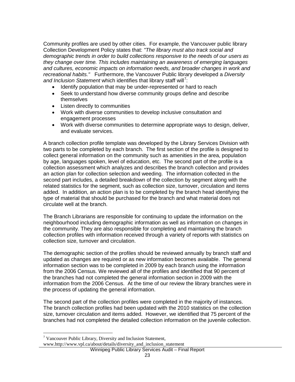Community profiles are used by other cities. For example, the Vancouver public library Collection Development Policy states that: *"The library must also track social and demographic trends in order to build collections responsive to the needs of our users as they change over time. This includes maintaining an awareness of emerging languages and cultures, economic impacts on information needs, and broader changes in work and recreational habits."* Furthermore, the Vancouver Public library developed a *Diversity*  and Inclusion Statement which identifies that library staff will<sup>[7](#page-22-1)</sup>:

- Identify population that may be under-represented or hard to reach
- Seek to understand how diverse community groups define and describe themselves
- Listen directly to communities
- Work with diverse communities to develop inclusive consultation and engagement processes
- Work with diverse communities to determine appropriate ways to design, deliver, and evaluate services.

A branch collection profile template was developed by the Library Services Division with two parts to be completed by each branch. The first section of the profile is designed to collect general information on the community such as amenities in the area, population by age, languages spoken, level of education, etc. The second part of the profile is a collection assessment which analyzes and describes the branch collection and provides an action plan for collection selection and weeding. The information collected in the second part includes, a detailed breakdown of the collection by segment along with the related statistics for the segment, such as collection size, turnover, circulation and items added. In addition, an action plan is to be completed by the branch head identifying the type of material that should be purchased for the branch and what material does not circulate well at the branch.

The Branch Librarians are responsible for continuing to update the information on the neighbourhood including demographic information as well as information on changes in the community. They are also responsible for completing and maintaining the branch collection profiles with information received through a variety of reports with statistics on collection size, turnover and circulation.

The demographic section of the profiles should be reviewed annually by branch staff and updated as changes are required or as new information becomes available. The general information section was to be completed in 2009 by each branch using the information from the 2006 Census. We reviewed all of the profiles and identified that 90 percent of the branches had not completed the general information section in 2009 with the information from the 2006 Census. At the time of our review the library branches were in the process of updating the general information.

The second part of the collection profiles were completed in the majority of instances. The branch collection profiles had been updated with the 2010 statistics on the collection size, turnover circulation and items added. However, we identified that 75 percent of the branches had not completed the detailed collection information on the juvenile collection.

www.http://www.vpl.ca/about/details/diversity\_and\_inclusion\_statement

Winnipeg Public Library Services Audit – Final Report

<span id="page-24-0"></span> <sup>7</sup> Vancouver Public Library, Diversity and Inclusion Statement,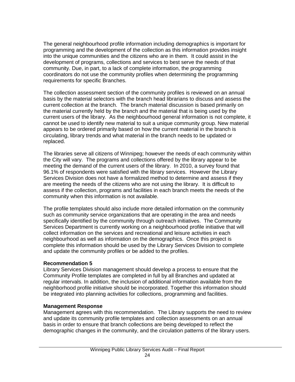The general neighbourhood profile information including demographics is important for programming and the development of the collection as this information provides insight into the unique communities and the citizens who are in them. It could assist in the development of programs, collections and services to best serve the needs of that community. Due, in part, to a lack of complete information, the programming coordinators do not use the community profiles when determining the programming requirements for specific Branches.

The collection assessment section of the community profiles is reviewed on an annual basis by the material selectors with the branch head librarians to discuss and assess the current collection at the branch. The branch material discussion is based primarily on the material currently held by the branch and the material that is being used by the current users of the library. As the neighbourhood general information is not complete, it cannot be used to identify new material to suit a unique community group. New material appears to be ordered primarily based on how the current material in the branch is circulating, library trends and what material in the branch needs to be updated or replaced.

The libraries serve all citizens of Winnipeg; however the needs of each community within the City will vary. The programs and collections offered by the library appear to be meeting the demand of the current users of the library. In 2010, a survey found that 96.1% of respondents were satisfied with the library services. However the Library Services Division does not have a formalized method to determine and assess if they are meeting the needs of the citizens who are not using the library. It is difficult to assess if the collection, programs and facilities in each branch meets the needs of the community when this information is not available.

The profile templates should also include more detailed information on the community such as community service organizations that are operating in the area and needs specifically identified by the community through outreach initiatives. The Community Services Department is currently working on a neighbourhood profile initiative that will collect information on the services and recreational and leisure activities in each neighbourhood as well as information on the demographics. Once this project is complete this information should be used by the Library Services Division to complete and update the community profiles or be added to the profiles.

#### **Recommendation 5**

Library Services Division management should develop a process to ensure that the Community Profile templates are completed in full by all Branches and updated at regular intervals. In addition, the inclusion of additional information available from the neighborhood profile initiative should be incorporated. Together this information should be integrated into planning activities for collections, programming and facilities.

#### **Management Response**

Management agrees with this recommendation. The Library supports the need to review and update its community profile templates and collection assessments on an annual basis in order to ensure that branch collections are being developed to reflect the demographic changes in the community, and the circulation patterns of the library users.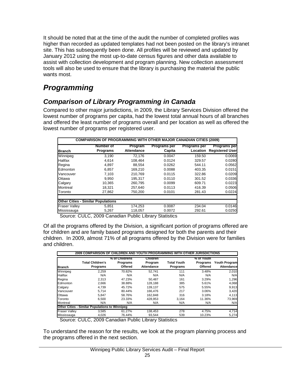It should be noted that at the time of the audit the number of completed profiles was higher than recorded as updated templates had not been posted on the library's intranet site. This has subsequently been done. All profiles will be reviewed and updated by January 2012 using the most up-to-date census figures and other data available to assist with collection development and program planning. New collection assessment tools will also be used to ensure that the library is purchasing the material the public wants most.

# <span id="page-26-0"></span>*Programming*

### <span id="page-26-1"></span>*Comparison of Library Programming in Canada*

Compared to other major jurisdictions, in 2009, the Library Services Division offered the lowest number of programs per capita, had the lowest total annual hours of all branches and offered the least number of programs overall and per location as well as offered the lowest number of programs per registered user.

|                                           | <b>COMPARISON OF PROGRAMMING WITH OTHER MAJOR CANADIAN CITIES (2009)</b><br><b>Number of</b> | Program    | <b>Programs per</b> | <b>Programs per</b> | <b>Programs per</b>    |
|-------------------------------------------|----------------------------------------------------------------------------------------------|------------|---------------------|---------------------|------------------------|
| Branch                                    | <b>Programs</b>                                                                              | Attendance | Capita              | Location            | <b>Registered User</b> |
| Winnipeg                                  | 3.190                                                                                        | 72.176     | 0.0047              | 159.50              | 0.0069                 |
| <b>Halifax</b>                            | 4,614                                                                                        | 108.464    | 0.0124              | 329.57              | 0.0280                 |
| Regina                                    | 4,897                                                                                        | 88.554     | 0.0262              | 544.11              | 0.0562                 |
| Edmonton                                  | 6.857                                                                                        | 169.210    | 0.0088              | 403.35              | 0.0151                 |
| Vancouver                                 | 7,103                                                                                        | 210.769    | 0.0115              | 322.86              | 0.0209                 |
| Ottawa                                    | 9.950                                                                                        | 195.317    | 0.0110              | 301.52              | 0.0336                 |
| Calgary                                   | 10.365                                                                                       | 260.795    | 0.0099              | 609.71              | 0.0223                 |
| Montreal                                  | 18.321                                                                                       | 257.640    | 0.0113              | 416.39              | 0.0506                 |
| Toronto                                   | 27,862                                                                                       | 750,200    | 0.0101              | 281.43              | 0.0224                 |
| <b>Other Cities - Similar Populations</b> |                                                                                              |            |                     |                     |                        |
| <b>Fraser Valley</b>                      | 5.851                                                                                        | 174,253    | 0.0087              | 234.04              | 0.0146                 |
| Mississauga                               | 5,267                                                                                        | 118.057    | 0.0072              | 292.61              | 0.0250                 |

Source: CULC, 2009 Canadian Public Library Statistics

Of all the programs offered by the Division, a significant portion of programs offered are for children and are family based programs designed for both the parents and their children. In 2009, almost 71% of all programs offered by the Division were for families and children.

| <b>Branch</b>        | <b>Total Children's</b><br><b>Programs</b>            | % of Childrens<br>Programs<br>Offered | Children<br>Program<br><b>Attendance</b> | <b>Total Youth</b><br>Programs | % of Youth<br>Programs<br>Offered | <b>Youth Program</b><br>Attendancel |
|----------------------|-------------------------------------------------------|---------------------------------------|------------------------------------------|--------------------------------|-----------------------------------|-------------------------------------|
| Winnipeg             | 2.259                                                 | 70.82%                                | 52.741                                   | 111                            | 3.48%                             | 2,010                               |
| Halifax              | N/A                                                   | N/A                                   | N/A                                      | N/A                            | N/A                               | N/A                                 |
| Regina               | 2.313                                                 | 47.23%                                | 50.487                                   | 161                            | 3.29%                             | 1,296                               |
| Edmonton             | 2,666                                                 | 38.88%                                | 128.188                                  | 385                            | 5.61%                             | 4,068                               |
| Calgary              | 4.739                                                 | 45.72%                                | 139.137                                  | 575                            | 5.55%                             | 9,913                               |
| Vancouver            | 5.714                                                 | 80.44%                                | 166.476                                  | 217                            | 3.06%                             | 3,420                               |
| Ottawa               | 5.847                                                 | 58.76%                                | 162.848                                  | 316                            | 3.18%                             | 4,113                               |
| Toronto              | 6.500                                                 | 23.33%                                | 428.953                                  | 3.164                          | 11.36%                            | 73,969                              |
| Montreal             | N/A                                                   | N/A                                   | N/A                                      | N/A                            | N/A                               | N/A                                 |
|                      | <b>Other Cities - Similar Populations to Winnipeg</b> |                                       |                                          |                                |                                   |                                     |
| <b>Fraser Vallev</b> | 3.585                                                 | 61.27%                                | 138.453                                  | 278                            | 4.75%                             | 4,714                               |
| Mississauga          | 4,026                                                 | 76.44%                                | 93.544                                   | 539                            | 10.23%                            | 5,274                               |

Source: CULC, 2009 Canadian Public Library Statistics

To understand the reason for the results, we look at the program planning process and the programs offered in the next section.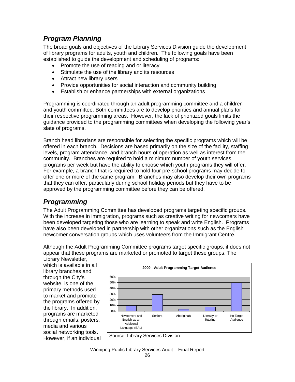### <span id="page-27-0"></span>*Program Planning*

The broad goals and objectives of the Library Services Division guide the development of library programs for adults, youth and children. The following goals have been established to guide the development and scheduling of programs:

- Promote the use of reading and or literacy
- Stimulate the use of the library and its resources
- Attract new library users
- Provide opportunities for social interaction and community building
- Establish or enhance partnerships with external organizations

Programming is coordinated through an adult programming committee and a children and youth committee. Both committees are to develop priorities and annual plans for their respective programming areas. However, the lack of prioritized goals limits the guidance provided to the programming committees when developing the following year's slate of programs.

Branch head librarians are responsible for selecting the specific programs which will be offered in each branch. Decisions are based primarily on the size of the facility, staffing levels, program attendance, and branch hours of operation as well as interest from the community. Branches are required to hold a minimum number of youth services programs per week but have the ability to choose which youth programs they will offer. For example, a branch that is required to hold four pre-school programs may decide to offer one or more of the same program. Branches may also develop their own programs that they can offer, particularly during school holiday periods but they have to be approved by the programming committee before they can be offered.

### <span id="page-27-1"></span>*Programming*

The Adult Programming Committee has developed programs targeting specific groups. With the increase in immigration, programs such as creative writing for newcomers have been developed targeting those who are learning to speak and write English. Programs have also been developed in partnership with other organizations such as the English newcomer conversation groups which uses volunteers from the Immigrant Centre.

Although the Adult Programming Committee programs target specific groups, it does not appear that these programs are marketed or promoted to target these groups. The

Library Newsletter, which is available in all library branches and through the City's website, is one of the primary methods used to market and promote the programs offered by the library. In addition, programs are marketed through emails, posters, media and various social networking tools. However, if an individual



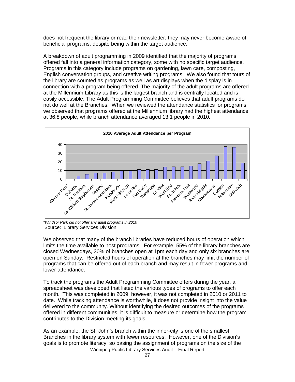does not frequent the library or read their newsletter, they may never become aware of beneficial programs, despite being within the target audience.

A breakdown of adult programming in 2009 identified that the majority of programs offered fall into a general information category, some with no specific target audience. Programs in this category include programs on gardening, lawn care, composting, English conversation groups, and creative writing programs. We also found that tours of the library are counted as programs as well as art displays when the display is in connection with a program being offered. The majority of the adult programs are offered at the Millennium Library as this is the largest branch and is centrally located and is easily accessible. The Adult Programming Committee believes that adult programs do not do well at the Branches. When we reviewed the attendance statistics for programs we observed that programs offered at the Millennium library had the highest attendance at 36.8 people, while branch attendance averaged 13.1 people in 2010.



*\*Windsor Park did not offer any adult programs in 2010* Source: Library Services Division

We observed that many of the branch libraries have reduced hours of operation which limits the time available to host programs. For example, 55% of the library branches are closed Wednesdays, 30% of branches open at 1pm each day and only six branches are open on Sunday. Restricted hours of operation at the branches may limit the number of programs that can be offered out of each branch and may result in fewer programs and lower attendance.

To track the programs the Adult Programming Committee offers during the year, a spreadsheet was developed that listed the various types of programs to offer each month. This was completed in 2009; however, it was not completed in 2010 or 2011 to date. While tracking attendance is worthwhile, it does not provide insight into the value delivered to the community. Without identifying the desired outcomes of the programs offered in different communities, it is difficult to measure or determine how the program contributes to the Division meeting its goals.

As an example, the St. John's branch within the inner-city is one of the smallest Branches in the library system with fewer resources. However, one of the Division's goals is to promote literacy, so basing the assignment of programs on the size of the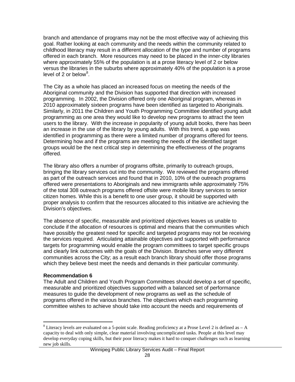branch and attendance of programs may not be the most effective way of achieving this goal. Rather looking at each community and the needs within the community related to childhood literacy may result in a different allocation of the type and number of programs offered in each branch. More resources may need to be placed in the inner-city libraries where approximately 55% of the population is at a prose literacy level of 2 or below versus the libraries in the suburbs where approximately 40% of the population is a prose level of 2 or below<sup>[8](#page-24-0)</sup>.

The City as a whole has placed an increased focus on meeting the needs of the Aboriginal community and the Division has supported that direction with increased programming. In 2002, the Division offered only one Aboriginal program, whereas in 2010 approximately sixteen programs have been identified as targeted to Aboriginals. Similarly, in 2011 the Children and Youth Programming Committee identified young adult programming as one area they would like to develop new programs to attract the teen users to the library. With the increase in popularity of young adult books, there has been an increase in the use of the library by young adults. With this trend, a gap was identified in programming as there were a limited number of programs offered for teens. Determining how and if the programs are meeting the needs of the identified target groups would be the next critical step in determining the effectiveness of the programs offered.

The library also offers a number of programs offsite, primarily to outreach groups, bringing the library services out into the community. We reviewed the programs offered as part of the outreach services and found that in 2010, 10% of the outreach programs offered were presentations to Aboriginals and new immigrants while approximately 75% of the total 308 outreach programs offered offsite were mobile library services to senior citizen homes. While this is a benefit to one user group, it should be supported with proper analysis to confirm that the resources allocated to this initiative are achieving the Division's objectives.

The absence of specific, measurable and prioritized objectives leaves us unable to conclude if the allocation of resources is optimal and means that the communities which have possibly the greatest need for specific and targeted programs may not be receiving the services required. Articulating attainable objectives and supported with performance targets for programming would enable the program committees to target specific groups and clearly link outcomes with the goals of the Division. Branches serve very different communities across the City; as a result each branch library should offer those programs which they believe best meet the needs and demands in their particular community.

#### **Recommendation 6**

The Adult and Children and Youth Program Committees should develop a set of specific, measurable and prioritized objectives supported with a balanced set of performance measures to guide the development of new programs as well as the schedule of programs offered in the various branches. The objectives which each programming committee wishes to achieve should take into account the needs and requirements of

<span id="page-29-0"></span> $8$  Literacy levels are evaluated on a 5-point scale. Reading proficiency at a Prose Level 2 is defined as  $- A$ capacity to deal with only simple, clear material involving uncomplicated tasks. People at this level may develop everyday coping skills, but their poor literacy makes it hard to conquer challenges such as learning new job skills.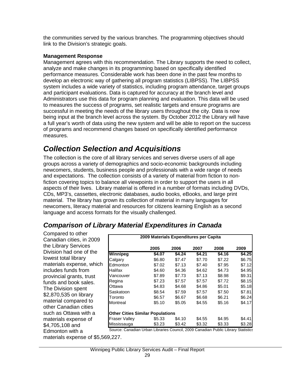the communities served by the various branches. The programming objectives should link to the Division's strategic goals.

### **Management Response**

Management agrees with this recommendation. The Library supports the need to collect, analyze and make changes in its programming based on specifically identified performance measures. Considerable work has been done in the past few months to develop an electronic way of gathering all program statistics (LIBPSS). The LIBPSS system includes a wide variety of statistics, including program attendance, target groups and participant evaluations. Data is captured for accuracy at the branch level and Administrators use this data for program planning and evaluation. This data will be used to measures the success of programs, set realistic targets and ensure programs are successful in meeting the needs of the library users throughout the city. Data is now being input at the branch level across the system. By October 2012 the Library will have a full year's worth of data using the new system and will be able to report on the success of programs and recommend changes based on specifically identified performance measures.

# <span id="page-30-0"></span>*Collection Selection and Acquisitions*

The collection is the core of all library services and serves diverse users of all age groups across a variety of demographics and socio-economic backgrounds including newcomers, students, business people and professionals with a wide range of needs and expectations. The collection consists of a variety of material from fiction to nonfiction covering topics to balance all viewpoints in order to support the users in all aspects of their lives. Library material is offered in a number of formats including DVDs, CDs, MP3's, cassettes, electronic databases, audio books, eBooks, and large print material. The library has grown its collection of material in many languages for newcomers, literacy material and resources for citizens learning English as a second language and access formats for the visually challenged.

### <span id="page-30-1"></span>*Comparison of Library Material Expenditures in Canada*

Compared to other Canadian cities, in 2009 the Library Services Division had one of the lowest total library materials expense, which includes funds from provincial grants, trust funds and book sales. The Division spent \$2,870,535 on library material compared to other Canadian cities such as Ottawa with a materials expense of \$4,705,108 and Edmonton with a

| 2009 Materials Expenditures per Capita  |        |        |        |        |        |  |
|-----------------------------------------|--------|--------|--------|--------|--------|--|
|                                         | 2005   | 2006   | 2007   | 2008   | 2009   |  |
| Winnipeg                                | \$4.07 | \$4.24 | \$4.21 | \$4.16 | \$4.25 |  |
| Calgary                                 | \$6.80 | \$7.47 | \$7.70 | \$7.22 | \$6.75 |  |
| Edmonton                                | \$7.02 | \$7.13 | \$7.40 | \$7.95 | \$7.12 |  |
| Halifax                                 | \$4.60 | \$4.36 | \$4.62 | \$4.73 | \$4.95 |  |
| Vancouver                               | \$7.89 | \$7.73 | \$7.13 | \$8.98 | \$9.31 |  |
| Regina                                  | \$7.23 | \$7.57 | \$7.57 | \$7.72 | \$8.15 |  |
| Ottawa                                  | \$4.83 | \$4.68 | \$4.86 | \$5.01 | \$5.18 |  |
| Saskatoon                               | \$8.54 | \$7.59 | \$7.57 | \$7.50 | \$7.81 |  |
| Toronto                                 | \$6.57 | \$6.67 | \$6.68 | \$6.21 | \$6.24 |  |
| Montreal                                | \$5.10 | \$5.05 | \$4.55 | \$5.16 | \$4.17 |  |
| <b>Other Cities Similar Populations</b> |        |        |        |        |        |  |
| <b>Fraser Valley</b>                    | \$5.33 | \$4.10 | \$4.55 | \$4.95 | \$4.41 |  |
| Mississauga                             | \$3.23 | \$3.42 | \$3.32 | \$3.33 | \$3.28 |  |

Source: Canadian Urban Libraries Council, 2009 Canadian Public Library Statistics

materials expense of \$5,569,227.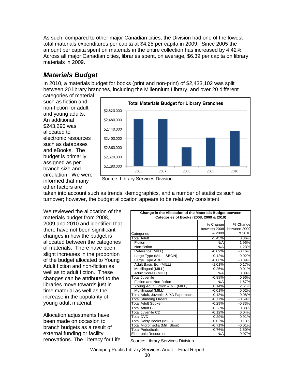As such, compared to other major Canadian cities, the Division had one of the lowest total materials expenditures per capita at \$4.25 per capita in 2009. Since 2005 the amount per capita spent on materials in the entire collection has increased by 4.42%. Across all major Canadian cities, libraries spent, on average, \$6.39 per capita on library materials in 2009.

### <span id="page-31-0"></span>*Materials Budget*

In 2010, a materials budget for books (print and non-print) of \$2,433,102 was split between 20 library branches, including the Millennium Library, and over 20 different

categories of material such as fiction and non-fiction for adult and young adults. An additional \$243,290 was allocated to electronic resources such as databases and eBooks. The budget is primarily assigned as per branch size and circulation. We were informed that many other factors are



Source: Library Services Division

taken into account such as trends, demographics, and a number of statistics such as turnover; however, the budget allocation appears to be relatively consistent.

We reviewed the allocation of the materials budget from 2008, 2009 and 2010 and identified that there have not been significant changes in how the budget is allocated between the categories of materials. There have been slight increases in the proportion of the budget allocated to Young Adult fiction and non-fiction as well as to adult fiction. These changes can be attributed to the libraries move towards just in time material as well as the increase in the popularity of young adult material.

Allocation adjustments have been made on occasion to branch budgets as a result of external funding or facility renovations. The Literacy for Life

| Change in the Allocation of the Materials Budget between<br>Categories of Books (2008, 2009 & 2010) |                                    |                                    |  |  |  |
|-----------------------------------------------------------------------------------------------------|------------------------------------|------------------------------------|--|--|--|
|                                                                                                     | % Change<br>between 2008<br>& 2009 | % Change<br>between 2009<br>& 2010 |  |  |  |
| Categories<br><b>Total Adult</b>                                                                    | $-5.45%$                           | 0.36%                              |  |  |  |
|                                                                                                     |                                    |                                    |  |  |  |
| Fiction<br>Non-fiction                                                                              | N/A                                | 1.96%                              |  |  |  |
|                                                                                                     | N/A                                | $-1.23%$                           |  |  |  |
| Reference (MILL)                                                                                    | $-0.09%$                           | $-0.16%$                           |  |  |  |
| Large Type (MILL, SBON)                                                                             | $-0.12%$                           | 0.02%                              |  |  |  |
| Large Type ARP                                                                                      | $-0.06%$                           | $-0.39%$                           |  |  |  |
| Adult Basic Ed. (MILL)                                                                              | $-1.01%$                           | 0.17%                              |  |  |  |
| Multilingual (MILL)                                                                                 | $-0.25%$                           | $-0.01%$                           |  |  |  |
| Adult Scores (MILL)                                                                                 | N/A                                | 0.00%                              |  |  |  |
| <b>Total Juvenile</b>                                                                               | $-0.88%$                           | 0.96%                              |  |  |  |
| Fiction and Non-fiction                                                                             | N/A                                | $-1.67%$                           |  |  |  |
| Young Adult Fiction & NF (MILL)                                                                     | 0.14%                              | 2.61%                              |  |  |  |
| Multilingual (MILL)                                                                                 | $-0.01%$                           | 0.02%                              |  |  |  |
| Total Adult, Juvenile & YA Paperbacks                                                               | $-0.13%$                           | $-0.08%$                           |  |  |  |
| <b>Total Standing Orders</b>                                                                        | $-0.77%$                           | $-0.69%$                           |  |  |  |
| <b>Total Adult Spoken</b>                                                                           | $-0.29%$                           | $-0.33%$                           |  |  |  |
| <b>Total Adult CD</b>                                                                               | $-0.23%$                           | 0.38%                              |  |  |  |
| <b>Total Juvenile CD</b>                                                                            | $-0.12%$                           | 0.04%                              |  |  |  |
| <b>Total DVD</b>                                                                                    | 0.29%                              | 0.91%                              |  |  |  |
| <b>Total Daisy Books (MILL)</b>                                                                     | 0.02%                              | $-0.13%$                           |  |  |  |
| Total Micromedia (Mill, Sbon)                                                                       | $-0.71%$                           | $-0.01%$                           |  |  |  |
| <b>Total Periodicals</b>                                                                            | $-0.76%$                           | $-1.50%$                           |  |  |  |
| <b>Electronic Resources</b>                                                                         | N/A                                | 0.07%                              |  |  |  |

Source: Library Services Division

Winnipeg Public Library Services Audit – Final Report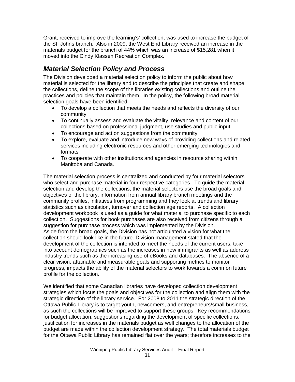Grant, received to improve the learning's' collection, was used to increase the budget of the St. Johns branch. Also in 2009, the West End Library received an increase in the materials budget for the branch of 44% which was an increase of \$15,281 when it moved into the Cindy Klassen Recreation Complex.

### <span id="page-32-0"></span>*Material Selection Policy and Process*

The Division developed a material selection policy to inform the public about how material is selected for the library and to describe the principles that create and shape the collections, define the scope of the libraries existing collections and outline the practices and policies that maintain them. In the policy, the following broad material selection goals have been identified:

- To develop a collection that meets the needs and reflects the diversity of our community
- To continually assess and evaluate the vitality, relevance and content of our collections based on professional judgment, use studies and public input.
- To encourage and act on suggestions from the community
- To explore, evaluate and introduce new ways of providing collections and related services including electronic resources and other emerging technologies and formats
- To cooperate with other institutions and agencies in resource sharing within Manitoba and Canada.

The material selection process is centralized and conducted by four material selectors who select and purchase material in four respective categories. To guide the material selection and develop the collections, the material selectors use the broad goals and objectives of the library, information from annual library branch meetings and the community profiles, initiatives from programming and they look at trends and library statistics such as circulation, turnover and collection age reports. A collection development workbook is used as a guide for what material to purchase specific to each collection. Suggestions for book purchases are also received from citizens through a suggestion for purchase process which was implemented by the Division. Aside from the broad goals, the Division has not articulated a vision for what the collection should look like in the future. Division management stated that the development of the collection is intended to meet the needs of the current users, take into account demographics such as the increases in new immigrants as well as address industry trends such as the increasing use of eBooks and databases. The absence of a clear vision, attainable and measurable goals and supporting metrics to monitor progress, impacts the ability of the material selectors to work towards a common future profile for the collection.

We identified that some Canadian libraries have developed collection development strategies which focus the goals and objectives for the collection and align them with the strategic direction of the library service. For 2008 to 2011 the strategic direction of the Ottawa Public Library is to target youth, newcomers, and entrepreneurs/small business, as such the collections will be improved to support these groups. Key recommendations for budget allocation, suggestions regarding the development of specific collections, justification for increases in the materials budget as well changes to the allocation of the budget are made within the collection development strategy. The total materials budget for the Ottawa Public Library has remained flat over the years; therefore increases to the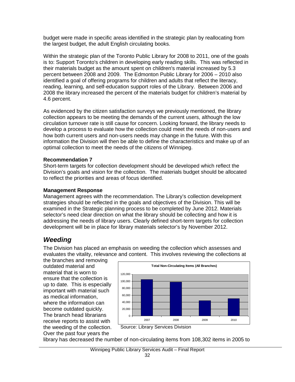budget were made in specific areas identified in the strategic plan by reallocating from the largest budget, the adult English circulating books.

Within the strategic plan of the Toronto Public Library for 2008 to 2011, one of the goals is to: Support Toronto's children in developing early reading skills. This was reflected in their materials budget as the amount spent on children's material increased by 5.3 percent between 2008 and 2009. The Edmonton Public Library for 2006 – 2010 also identified a goal of offering programs for children and adults that reflect the literacy, reading, learning, and self-education support roles of the Library. Between 2006 and 2008 the library increased the percent of the materials budget for children's material by 4.6 percent.

As evidenced by the citizen satisfaction surveys we previously mentioned, the library collection appears to be meeting the demands of the current users, although the low circulation turnover rate is still cause for concern. Looking forward, the library needs to develop a process to evaluate how the collection could meet the needs of non-users and how both current users and non-users needs may change in the future. With this information the Division will then be able to define the characteristics and make up of an optimal collection to meet the needs of the citizens of Winnipeg.

#### **Recommendation 7**

Short-term targets for collection development should be developed which reflect the Division's goals and vision for the collection. The materials budget should be allocated to reflect the priorities and areas of focus identified.

### **Management Response**

Management agrees with the recommendation. The Library's collection development strategies should be reflected in the goals and objectives of the Division. This will be examined in the Strategic planning process to be completed by June 2012. Materials selector's need clear direction on what the library should be collecting and how it is addressing the needs of library users. Clearly defined short-term targets for collection development will be in place for library materials selector's by November 2012.

### <span id="page-33-0"></span>*Weeding*

The Division has placed an emphasis on weeding the collection which assesses and evaluates the vitality, relevance and content. This involves reviewing the collections at

the branches and removing outdated material and material that is worn to ensure that the collection is up to date. This is especially important with material such as medical information, where the information can become outdated quickly. The branch head librarians receive reports to assist with the weeding of the collection. Over the past four years the



Source: Library Services Division

library has decreased the number of non-circulating items from 108,302 items in 2005 to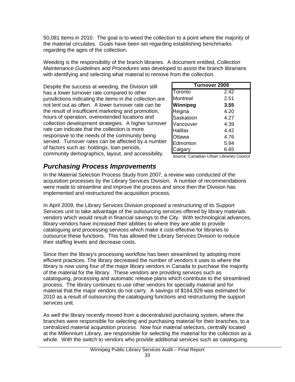50,081 items in 2010. The goal is to weed the collection to a point where the majority of the material circulates. Goals have been set regarding establishing benchmarks regarding the ages of the collection.

Weeding is the responsibility of the branch libraries. A document entitled, *Collection Maintenance Guidelines and Procedures* was developed to assist the branch librarians with identifying and selecting what material to remove from the collection.

Despite the success at weeding, the Division still has a lower turnover rate compared to other jurisdictions indicating the items in the collection are not lent out as often. A lower turnover rate can be the result of insufficient marketing and promotion, hours of operation, overextended locations and collection development strategies. A higher turnover rate can indicate that the collection is more responsive to the needs of the community being served. Turnover rates can be affected by a number of factors such as: holdings, loan periods, community demographics, layout, and accessibility.

| <b>Turnover 2009</b> |      |  |  |  |  |  |
|----------------------|------|--|--|--|--|--|
| Toronto              | 2.42 |  |  |  |  |  |
| Montreal             | 2.51 |  |  |  |  |  |
| Winnipeg             | 3.55 |  |  |  |  |  |
| Regina               | 4.20 |  |  |  |  |  |
| Saskatoon            | 4.27 |  |  |  |  |  |
| Vancouver            | 4.39 |  |  |  |  |  |
| Halifax              | 4.42 |  |  |  |  |  |
| Ottawa               | 4.76 |  |  |  |  |  |
| Edmonton             | 5.94 |  |  |  |  |  |
| Calgary              | 6.65 |  |  |  |  |  |

Source: Canadian Urban Libraries Council

### <span id="page-34-0"></span>*Purchasing Process Improvements*

In the Material Selection Process Study from 2007, a review was conducted of the acquisition processes by the Library Services Division. A number of recommendations were made to streamline and improve the process and since then the Division has implemented and restructured the acquisition process.

In April 2009, the Library Services Division proposed a restructuring of its Support Services unit to take advantage of the outsourcing services offered by library materials vendors which would result in financial savings to the City. With technological advances, library vendors have increased their abilities to where they are able to provide cataloguing and processing services which make it cost-effective for libraries to outsource these functions. This has allowed the Library Services Division to reduce their staffing levels and decrease costs.

Since then the library's processing workflow has been streamlined by adopting more efficient practices. The library decreased the number of vendors it uses to where the library is now using four of the major library vendors in Canada to purchase the majority of the material for the library. These vendors are providing services such as cataloguing, processing and automatic release plans which contribute to the streamlined process. The library continues to use other vendors for specialty material and for material that the major vendors do not carry. A savings of \$164,929 was estimated for 2010 as a result of outsourcing the cataloguing functions and restructuring the support services unit.

As well the library recently moved from a decentralized purchasing system, where the branches were responsible for selecting and purchasing material for their branches, to a centralized material acquisition process. Now four material selectors, centrally located at the Millennium Library, are responsible for selecting the material for the collection as a whole. With the switch to vendors who provide additional services such as cataloguing,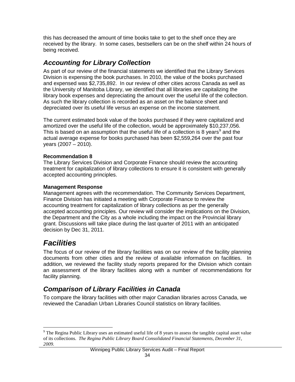this has decreased the amount of time books take to get to the shelf once they are received by the library. In some cases, bestsellers can be on the shelf within 24 hours of being received.

### <span id="page-35-0"></span>*Accounting for Library Collection*

As part of our review of the financial statements we identified that the Library Services Division is expensing the book purchases. In 2010, the value of the books purchased and expensed was \$2,735,892. In our review of other cities across Canada as well as the University of Manitoba Library, we identified that all libraries are capitalizing the library book expenses and depreciating the amount over the useful life of the collection. As such the library collection is recorded as an asset on the balance sheet and depreciated over its useful life versus an expense on the income statement.

The current estimated book value of the books purchased if they were capitalized and amortized over the useful life of the collection, would be approximately \$10,237,056. This is based on an assumption that the useful life of a collection is 8 years<sup>[9](#page-29-0)</sup> and the actual average expense for books purchased has been \$2,559,264 over the past four years (2007 – 2010).

### **Recommendation 8**

The Library Services Division and Corporate Finance should review the accounting treatment for capitalization of library collections to ensure it is consistent with generally accepted accounting principles.

### **Management Response**

Management agrees with the recommendation. The Community Services Department, Finance Division has initiated a meeting with Corporate Finance to review the accounting treatment for capitalization of library collections as per the generally accepted accounting principles. Our review will consider the implications on the Division, the Department and the City as a whole including the impact on the Provincial library grant. Discussions will take place during the last quarter of 2011 with an anticipated decision by Dec 31, 2011.

# <span id="page-35-1"></span>*Facilities*

The focus of our review of the library facilities was on our review of the facility planning documents from other cities and the review of available information on facilities. In addition, we reviewed the facility study reports prepared for the Division which contain an assessment of the library facilities along with a number of recommendations for facility planning.

### <span id="page-35-2"></span>*Comparison of Library Facilities in Canada*

To compare the library facilities with other major Canadian libraries across Canada, we reviewed the Canadian Urban Libraries Council statistics on library facilities.

<span id="page-35-3"></span><sup>&</sup>lt;sup>9</sup> The Regina Public Library uses an estimated useful life of 8 years to assess the tangible capital asset value of its collections. *The Regina Public Library Board Consolidated Financial Statements, December 31, 2009.*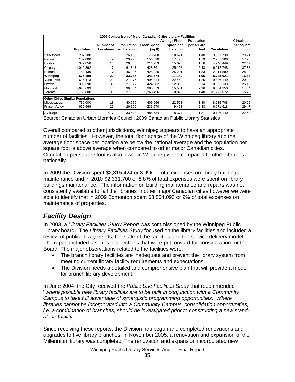|                                         |                   |           |                   | 2009 Comparison of Major Canadian Cities Library Facilities |                      |                   |             |             |
|-----------------------------------------|-------------------|-----------|-------------------|-------------------------------------------------------------|----------------------|-------------------|-------------|-------------|
|                                         |                   |           |                   |                                                             | <b>Average Floor</b> | <b>Population</b> |             | Circulation |
|                                         |                   | Number of | <b>Population</b> | <b>Floor Space</b>                                          | Space per            | per square        |             | per square  |
|                                         | <b>Population</b> | Locations | per Location      | (sq ft)                                                     | Location             | foot              | Circulation | foot        |
| Saskatoon                               | 209.200           | 8         | 26,150            | 148,968                                                     | 18.621               | 1.40              | 3,532,738   | 23.71       |
| Regina                                  | 187.000           | 9         | 20.778            | 156.830                                                     | 17.426               | 1.19              | 2.707.306   | 17.26       |
| Halifax                                 | 372.858           | 14        | 26.633            | 211.253                                                     | 15.090               | 1.76              | 4,746,449   | 22.47       |
| Calgary                                 | 1,042,892         | 17        | 61,347            | 428,361                                                     | 25,198               | 2.43              | 16,012,748  | 37.38       |
| Edmonton                                | 782.439           | 17        | 46.026            | 428.420                                                     | 25.201               | 1.83              | 12.014.589  | 28.04       |
| Winnipeg                                | 675,100           | 20        | 33,755            | 343,774                                                     | 17,189               | 1.96              | 5,728,921   | 16.66       |
| Vancouver                               | 615.473           | 22        | 27.976            | 494.314                                                     | 22.469               | 1.25              | 9.886.149   | 20.00       |
| Ottawa                                  | 908.390           | 33        | 27.527            | 424,582                                                     | 12.866               | 2.14              | 10.692.133  | 25.18       |
| Montreal                                | 1.620.693         | 44        | 36.834            | 685.573                                                     | 15.581               | 2.36              | 9.834.250   | 14.34       |
| Toronto                                 | 2.755.800         | 99        | 27,836            | 1,863,496                                                   | 18,823               | 1.48              | 31,271,072  | 16.78       |
| <b>Other Cities Similar Populations</b> |                   |           |                   |                                                             |                      |                   |             |             |
| Mississauga                             | 730.000           | 18        | 40.556            | 406.666                                                     | 22.593               | 1.80              | 8,235,708   | 20.25       |
| <b>Fraser Valley</b>                    | 669,969           | 25        | 26,799            | 236,570                                                     | 9,463                | 2.83              | 6,971,618   | 29.47       |
| Average                                 |                   | 27.17     | 33.518            | 485.734                                                     | 18.377               | 1.87              | 10.136.140  | 22.63       |

Source: Canadian Urban Libraries Council, 2009 Canadian Public Library Statistics

Overall compared to other jurisdictions, Winnipeg appears to have an appropriate number of facilities. However, the total floor space of the Winnipeg library and the average floor space per location are below the national average and the population per square foot is above average when compared to other major Canadian cities. Circulation per square foot is also lower in Winnipeg when compared to other libraries nationally.

In 2009 the Division spent \$2,315,424 or 8.9% of total expenses on library buildings maintenance and in 2010 \$2,331,700 or 8.8% of total expenses were spent on library buildings maintenance. The information on building maintenance and repairs was not consistently available for all the libraries in other major Canadian cities however we were able to identify that in 2009 Edmonton spent \$3,864,093 or 9% of total expenses on maintenance of properties.

### <span id="page-36-0"></span>*Facility Design*

In 2003, a *Library Facilities Study Report* was commissioned by the Winnipeg Public Library board. The *Library Facilities Study* focused on the library facilities and included a review of public library trends, the state of the facilities and the service delivery model. The report included a series of directions that were put forward for consideration for the Board. The major observations related to the facilities were:

- The branch library facilities are inadequate and prevent the library system from meeting current library facility requirements and expectations.
- The Division needs a detailed and comprehensive plan that will provide a model for branch library development.

In June 2004, the City received the *Public Use Facilities Study* that recommended "*where possible new library facilities are to be built in conjunction with a Community Campus to take full advantage of synergistic programming opportunities. Where libraries cannot be incorporated into a Community Campus, consolidation opportunities, i.e. a combination of branches, should be investigated prior to constructing a new standalone facility*".

Since receiving these reports, the Division has begun and completed renovations and upgrades to five library branches. In November 2005, a renovation and expansion of the Millennium library was completed. The renovation and expansion incorporated new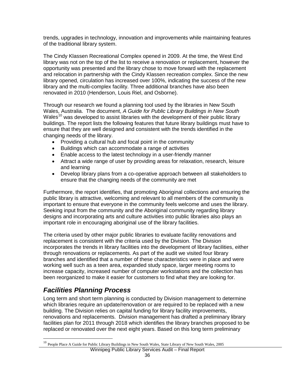trends, upgrades in technology, innovation and improvements while maintaining features of the traditional library system.

The Cindy Klassen Recreational Complex opened in 2009. At the time, the West End library was not on the top of the list to receive a renovation or replacement, however the opportunity was presented and the library chose to move forward with the replacement and relocation in partnership with the Cindy Klassen recreation complex. Since the new library opened, circulation has increased over 100%, indicating the success of the new library and the multi-complex facility. Three additional branches have also been renovated in 2010 (Henderson, Louis Riel, and Osborne).

Through our research we found a planning tool used by the libraries in New South Wales, Australia. The document, *A Guide for Public Library Buildings in New South*  Wales<sup>[10](#page-35-3)</sup> was developed to assist libraries with the development of their public library buildings. The report lists the following features that future library buildings must have to ensure that they are well designed and consistent with the trends identified in the changing needs of the library.

- Providing a cultural hub and focal point in the community
- Buildings which can accommodate a range of activities
- Enable access to the latest technology in a user-friendly manner
- Attract a wide range of user by providing areas for relaxation, research, leisure and learning
- Develop library plans from a co-operative approach between all stakeholders to ensure that the changing needs of the community are met

Furthermore, the report identifies, that promoting Aboriginal collections and ensuring the public library is attractive, welcoming and relevant to all members of the community is important to ensure that everyone in the community feels welcome and uses the library. Seeking input from the community and the Aboriginal community regarding library designs and incorporating arts and culture activities into public libraries also plays an important role in encouraging aboriginal use of the library facilities.

The criteria used by other major public libraries to evaluate facility renovations and replacement is consistent with the criteria used by the Division. The Division incorporates the trends in library facilities into the development of library facilities, either through renovations or replacements. As part of the audit we visited four library branches and identified that a number of these characteristics were in place and were working well such as a teen area, expanded study space, larger meeting rooms to increase capacity, increased number of computer workstations and the collection has been reorganized to make it easier for customers to find what they are looking for.

### <span id="page-37-0"></span>*Facilities Planning Process*

Long term and short term planning is conducted by Division management to determine which libraries require an update/renovation or are required to be replaced with a new building. The Division relies on capital funding for library facility improvements, renovations and replacements. Division management has drafted a preliminary library facilities plan for 2011 through 2018 which identifies the library branches proposed to be replaced or renovated over the next eight years. Based on this long term preliminary

<span id="page-37-1"></span>Winnipeg Public Library Services Audit – Final Report <sup>10</sup> People Place A Guide for Public Library Buildings in New South Wales, State Library of New South Wales, 2005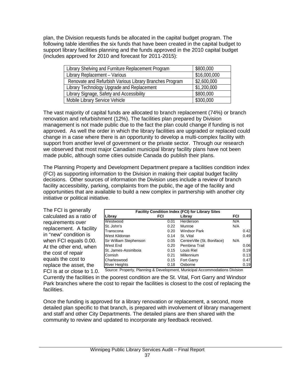plan, the Division requests funds be allocated in the capital budget program. The following table identifies the six funds that have been created in the capital budget to support library facilities planning and the funds approved in the 2010 capital budget (includes approved for 2010 and forecast for 2011-2015):

| Library Shelving and Furniture Replacement Program      | \$800,000    |
|---------------------------------------------------------|--------------|
| Library Replacement - Various                           | \$16,000,000 |
| Renovate and Refurbish Various Library Branches Program | \$2,600,000  |
| Library Technology Upgrade and Replacement              | \$1,200,000  |
| Library Signage, Safety and Accessibility               | \$800,000    |
| Mobile Library Service Vehicle                          | \$300,000    |

The vast majority of capital funds are allocated to branch replacement (74%) or branch renovation and refurbishment (12%). The facilities plan prepared by Division management is not made public due to the fact the plan could change if funding is not approved. As well the order in which the library facilities are upgraded or replaced could change in a case where there is an opportunity to develop a multi-complex facility with support from another level of government or the private sector. Through our research we observed that most major Canadian municipal library facility plans have not been made public, although some cities outside Canada do publish their plans.

The Planning Property and Development Department prepare a facilities condition index (FCI) as supporting information to the Division in making their capital budget facility decisions. Other sources of information the Division uses include a review of branch facility accessibility, parking, complaints from the public, the age of the facility and opportunities that are available to build a new complex in partnership with another city initiative or political initiative.

| The FCI is generally       |
|----------------------------|
| calculated as a ratio of   |
| requirements over          |
| replacement. A facility    |
| in "new" condition is      |
| when FCI equals 0.00.      |
| At the other end, when     |
| the cost of repair         |
| equals the cost to         |
| replace the asset, the     |
| FCI is at or close to 1.0. |
|                            |

| <b>Facility Condition Index (FCI) for Library Sites</b> |      |                            |     |      |
|---------------------------------------------------------|------|----------------------------|-----|------|
| Libray                                                  | FCI  | Libray                     | FCI |      |
| Westwood                                                | 0.01 | Herderson                  | N/A |      |
| St. John's                                              | 0.22 | Munroe                     | N/A |      |
| Transcona                                               | 0.20 | <b>Windsor Park</b>        |     | 0.42 |
| West Kildonan                                           | 0.14 | St. Vital                  |     | 0.49 |
| Sir William Stephenson                                  | 0.05 | CentreVille (St. Boniface) | N/A |      |
| West End                                                | 0.20 | Pembina Trail              |     | 0.06 |
| St. James-Assiniboia                                    | 0.15 | Louis Riel                 |     | 0.19 |
| Cornish                                                 | 0.21 | Millennium                 |     | 0.13 |
|                                                         | 0.15 | Fort Garry                 |     | 0.47 |
|                                                         | 0.18 | Osborne                    |     | 0.19 |
| Charleswood<br><b>River Heights</b>                     |      |                            |     |      |

Source: Property, Planning & Development, Municipal Accommodations Division

Currently the facilities in the poorest condition are the St. Vital, Fort Garry and Windsor Park branches where the cost to repair the facilities is closest to the cost of replacing the facilities.

Once the funding is approved for a library renovation or replacement, a second, more detailed plan specific to that branch, is prepared with involvement of library management and staff and other City Departments. The detailed plans are then shared with the community to review and updated to incorporate any feedback received.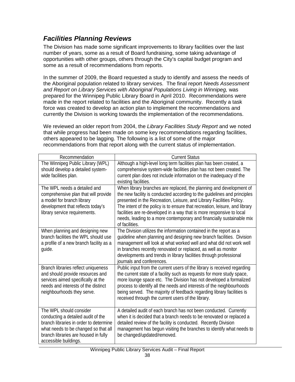### <span id="page-39-0"></span>*Facilities Planning Reviews*

The Division has made some significant improvements to library facilities over the last number of years, some as a result of Board fundraising, some taking advantage of opportunities with other groups, others through the City's capital budget program and some as a result of recommendations from reports.

In the summer of 2009, the Board requested a study to identify and assess the needs of the Aboriginal population related to library services. The final report *Needs Assessment and Report on Library Services with Aboriginal Populations Living in Winnipeg,* was prepared for the Winnipeg Public Library Board in April 2010. Recommendations were made in the report related to facilities and the Aboriginal community. Recently a task force was created to develop an action plan to implement the recommendations and currently the Division is working towards the implementation of the recommendations.

We reviewed an older report from 2004, the *Library Facilities Study Report* and we noted that while progress had been made on some key recommendations regarding facilities, others appeared to be lagging. The following is a list of some of the major recommendations from that report along with the current status of implementation.

| Recommendation                                                                                                                                                                                                   | <b>Current Status</b>                                                                                                                                                                                                                                                                                                                                                                                                                                                      |
|------------------------------------------------------------------------------------------------------------------------------------------------------------------------------------------------------------------|----------------------------------------------------------------------------------------------------------------------------------------------------------------------------------------------------------------------------------------------------------------------------------------------------------------------------------------------------------------------------------------------------------------------------------------------------------------------------|
| The Winnipeg Public Library (WPL)<br>should develop a detailed system-<br>wide facilities plan.                                                                                                                  | Although a high-level long term facilities plan has been created, a<br>comprehensive system-wide facilities plan has not been created. The<br>current plan does not include information on the inadequacy of the<br>existing facilities.                                                                                                                                                                                                                                   |
| The WPL needs a detailed and<br>comprehensive plan that will provide<br>a model for branch library<br>development that reflects today's<br>library service requirements.                                         | When library branches are replaced, the planning and development of<br>the new facility is conducted according to the guidelines and principles<br>presented in the Recreation, Leisure, and Library Facilities Policy.<br>The intent of the policy is to ensure that recreation, leisure, and library<br>facilities are re-developed in a way that is more responsive to local<br>needs, leading to a more contemporary and financially sustainable mix<br>of facilities. |
| When planning and designing new<br>branch facilities the WPL should use<br>a profile of a new branch facility as a<br>quide.                                                                                     | The Division utilizes the information contained in the report as a<br>guideline when planning and designing new branch facilities. Division<br>management will look at what worked well and what did not work well<br>in branches recently renovated or replaced, as well as monitor<br>developments and trends in library facilities through professional<br>journals and conferences.                                                                                    |
| Branch libraries reflect uniqueness<br>and should provide resources and<br>services aimed specifically at the<br>needs and interests of the distinct<br>neighbourhoods they serve.                               | Public input from the current users of the library is received regarding<br>the current state of a facility such as requests for more study space,<br>more lounge space etc. The Division has not developed a formalized<br>process to identify all the needs and interests of the neighbourhoods<br>being served. The majority of feedback regarding library facilities is<br>received through the current users of the library.                                          |
| The WPL should consider<br>conducting a detailed audit of the<br>branch libraries in order to determine<br>what needs to be changed so that all<br>branch libraries are housed in fully<br>accessible buildings. | A detailed audit of each branch has not been conducted. Currently<br>when it is decided that a branch needs to be renovated or replaced a<br>detailed review of the facility is conducted. Recently Division<br>management has begun visiting the branches to identify what needs to<br>be changed/updated/removed.                                                                                                                                                        |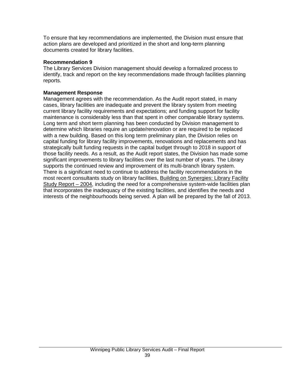To ensure that key recommendations are implemented, the Division must ensure that action plans are developed and prioritized in the short and long-term planning documents created for library facilities.

### **Recommendation 9**

The Library Services Division management should develop a formalized process to identify, track and report on the key recommendations made through facilities planning reports.

### **Management Response**

Management agrees with the recommendation. As the Audit report stated, in many cases, library facilities are inadequate and prevent the library system from meeting current library facility requirements and expectations; and funding support for facility maintenance is considerably less than that spent in other comparable library systems. Long term and short term planning has been conducted by Division management to determine which libraries require an update/renovation or are required to be replaced with a new building. Based on this long term preliminary plan, the Division relies on capital funding for library facility improvements, renovations and replacements and has strategically built funding requests in the capital budget through to 2018 in support of those facility needs. As a result, as the Audit report states, the Division has made some significant improvements to library facilities over the last number of years. The Library supports the continued review and improvement of its multi-branch library system. There is a significant need to continue to address the facility recommendations in the most recent consultants study on library facilities, Building on Synergies: Library Facility Study Report – 2004, including the need for a comprehensive system-wide facilities plan that incorporates the inadequacy of the existing facilities, and identifies the needs and interests of the neighbourhoods being served. A plan will be prepared by the fall of 2013.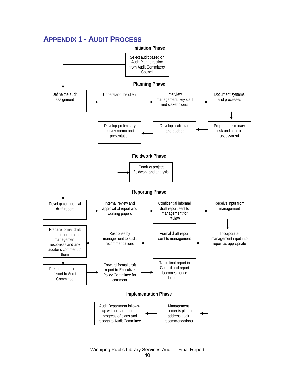### <span id="page-41-0"></span>**APPENDIX 1 - AUDIT PROCESS**

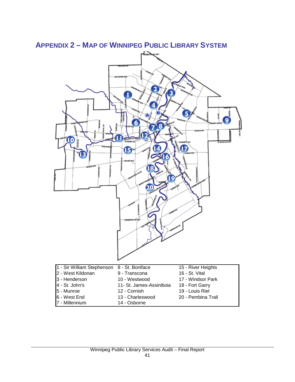<span id="page-42-0"></span>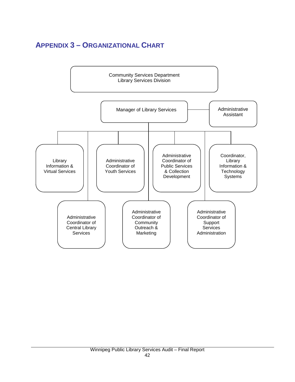# <span id="page-43-0"></span>**APPENDIX 3 – ORGANIZATIONAL CHART**

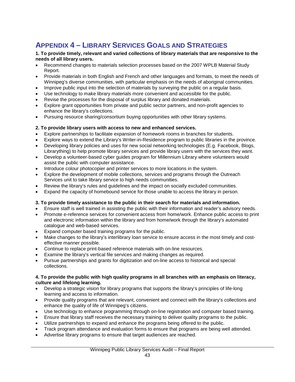# <span id="page-44-0"></span>**APPENDIX 4 – LIBRARY SERVICES GOALS AND STRATEGIES**

#### **1. To provide timely, relevant and varied collections of library materials that are responsive to the needs of all library users.**

- Recommend changes to materials selection processes based on the 2007 WPLB Material Study Report.
- Provide materials in both English and French and other languages and formats, to meet the needs of Winnipeg's diverse communities, with particular emphasis on the needs of aboriginal communities.
- Improve public input into the selection of materials by surveying the public on a regular basis.
- Use technology to make library materials more convenient and accessible for the public.
- Revise the processes for the disposal of surplus library and donated materials.
- Explore grant opportunities from private and public sector partners, and non-profit agencies to enhance the library's collections.
- Pursuing resource sharing/consortium buying opportunities with other library systems.

#### **2. To provide library users with access to new and enhanced services.**

- Explore partnerships to facilitate expansion of homework rooms in branches for students.
- Explore ways to extend the Library's Writer-in-Residence program to public libraries in the province.
- Developing library policies and uses for new social networking technologies (E.g. Facebook, Blogs, Librarything) to help promote library services and provide library users with the services they want.
- Develop a volunteer-based cyber guides program for Millennium Library where volunteers would assist the public with computer assistance.
- Introduce colour photocopier and printer services to more locations in the system.
- Explore the development of mobile collections, services and programs through the Outreach Services unit to take library service to high needs communities.
- Review the library's rules and guidelines and the impact on socially excluded communities.
- Expand the capacity of homebound service for those unable to access the library in person.

#### **3. To provide timely assistance to the public in their search for materials and information.**

- Ensure staff is well trained in assisting the public with their information and reader's advisory needs.
- Promote e-reference services for convenient access from home/work. Enhance public access to print and electronic information within the library and from home/work through the library's automated catalogue and web-based services.
- Expand computer based training programs for the public.
- Make changes to the library's interlibrary loan service to ensure access in the most timely and costeffective manner possible.
- Continue to replace print-based reference materials with on-line resources.
- Examine the library's vertical file services and making changes as required.
- Pursue partnerships and grants for digitization and on-line access to historical and special collections.

#### **4. To provide the public with high quality programs in all branches with an emphasis on literacy, culture and lifelong learning.**

- Develop a strategic vision for library programs that supports the library's principles of life-long learning and access to information.
- Provide quality programs that are relevant, convenient and connect with the library's collections and enhance the quality of life of Winnipeg's citizens.
- Use technology to enhance programming through on-line registration and computer based training.
- Ensure that library staff receives the necessary training to deliver quality programs to the public.
- Utilize partnerships to expand and enhance the programs being offered to the public.
- Track program attendance and evaluation forms to ensure that programs are being well attended.
- Advertise library programs to ensure that target audiences are reached.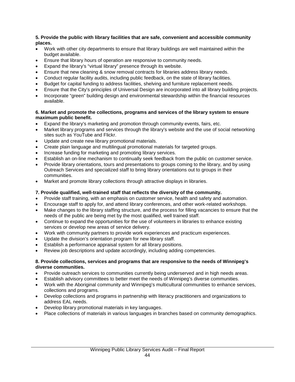#### **5. Provide the public with library facilities that are safe, convenient and accessible community places.**

- Work with other city departments to ensure that library buildings are well maintained within the budget available.
- Ensure that library hours of operation are responsive to community needs.
- Expand the library's "virtual library" presence through its website.
- Ensure that new cleaning & snow removal contracts for libraries address library needs.
- Conduct regular facility audits, including public feedback, on the state of library facilities.
- Budget for capital funding to address facilities, shelving and furniture replacement needs.
- Ensure that the City's principles of Universal Design are incorporated into all library building projects.
- Incorporate "green" building design and environmental stewardship within the financial resources available.

#### **6. Market and promote the collections, programs and services of the library system to ensure maximum public benefit.**

- Expand the library's marketing and promotion through community events, fairs, etc.
- Market library programs and services through the library's website and the use of social networking sites such as YouTube and Flickr.
- Update and create new library promotional materials.
- Create plain language and multilingual promotional materials for targeted groups.
- Increase funding for marketing and promoting library services.
- Establish an on-line mechanism to continually seek feedback from the public on customer service.
- Provide library orientations, tours and presentations to groups coming to the library, and by using Outreach Services and specialized staff to bring library orientations out to groups in their communities.
- Market and promote library collections through attractive displays in libraries.

#### **7. Provide qualified, well-trained staff that reflects the diversity of the community.**

- Provide staff training, with an emphasis on customer service, health and safety and automation.
- Encourage staff to apply for, and attend library conferences, and other work-related workshops.
- Make changes to the library staffing structure, and the process for filling vacancies to ensure that the needs of the public are being met by the most qualified, well trained staff.
- Continue to expand the opportunities for the use of volunteers in libraries to enhance existing services or develop new areas of service delivery.
- Work with community partners to provide work experiences and practicum experiences.
- Update the division's orientation program for new library staff.
- Establish a performance appraisal system for all library positions.
- Review job descriptions and update accordingly, including adding competencies.

#### **8. Provide collections, services and programs that are responsive to the needs of Winnipeg's diverse communities.**

- Provide outreach services to communities currently being underserved and in high needs areas.
- Establish advisory committees to better meet the needs of Winnipeg's diverse communities.
- Work with the Aboriginal community and Winnipeg's multicultural communities to enhance services, collections and programs.
- Develop collections and programs in partnership with literacy practitioners and organizations to address EAL needs.
- Develop library promotional materials in key languages.
- Place collections of materials in various languages in branches based on community demographics.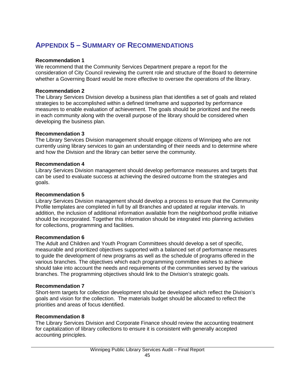# <span id="page-46-0"></span>**APPENDIX 5 – SUMMARY OF RECOMMENDATIONS**

#### **Recommendation 1**

We recommend that the Community Services Department prepare a report for the consideration of City Council reviewing the current role and structure of the Board to determine whether a Governing Board would be more effective to oversee the operations of the library.

#### **Recommendation 2**

The Library Services Division develop a business plan that identifies a set of goals and related strategies to be accomplished within a defined timeframe and supported by performance measures to enable evaluation of achievement. The goals should be prioritized and the needs in each community along with the overall purpose of the library should be considered when developing the business plan.

#### **Recommendation 3**

The Library Services Division management should engage citizens of Winnipeg who are not currently using library services to gain an understanding of their needs and to determine where and how the Division and the library can better serve the community.

#### **Recommendation 4**

Library Services Division management should develop performance measures and targets that can be used to evaluate success at achieving the desired outcome from the strategies and goals.

#### **Recommendation 5**

Library Services Division management should develop a process to ensure that the Community Profile templates are completed in full by all Branches and updated at regular intervals. In addition, the inclusion of additional information available from the neighborhood profile initiative should be incorporated. Together this information should be integrated into planning activities for collections, programming and facilities.

#### **Recommendation 6**

The Adult and Children and Youth Program Committees should develop a set of specific, measurable and prioritized objectives supported with a balanced set of performance measures to guide the development of new programs as well as the schedule of programs offered in the various branches. The objectives which each programming committee wishes to achieve should take into account the needs and requirements of the communities served by the various branches. The programming objectives should link to the Division's strategic goals.

#### **Recommendation 7**

Short-term targets for collection development should be developed which reflect the Division's goals and vision for the collection. The materials budget should be allocated to reflect the priorities and areas of focus identified.

#### **Recommendation 8**

The Library Services Division and Corporate Finance should review the accounting treatment for capitalization of library collections to ensure it is consistent with generally accepted accounting principles.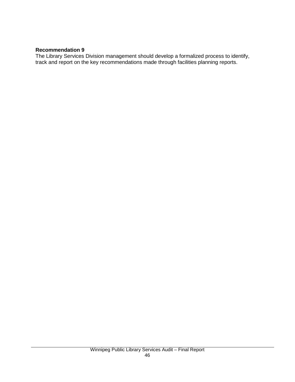### **Recommendation 9**

The Library Services Division management should develop a formalized process to identify, track and report on the key recommendations made through facilities planning reports.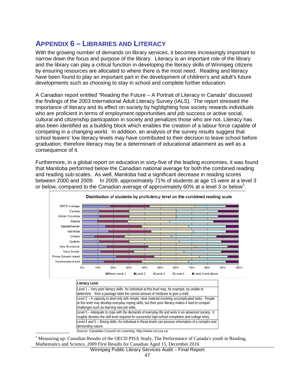### <span id="page-48-0"></span>**APPENDIX 6 – LIBRARIES AND LITERACY**

With the growing number of demands on library services, it becomes increasingly important to narrow down the focus and purpose of the library. Literacy is an important role of the library and the library can play a critical function in developing the literacy skills of Winnipeg citizens by ensuring resources are allocated to where there is the most need. Reading and literacy have been found to play an important part in the development of children's and adult's future developments such as choosing to stay in school and complete further education.

A Canadian report entitled "Reading the Future – A Portrait of Literacy in Canada" discussed the findings of the 2003 International Adult Literacy Survey (IALS). The report stressed the importance of literacy and its effect on society by highlighting how society rewards individuals who are proficient in terms of employment opportunities and job success or active social, cultural and citizenship participation in society and penalizes those who are not. Literacy has also been identified as a building block which enables the creation of a labour force capable of competing in a changing world. In addition, an analysis of the survey results suggest that school leavers' low literacy levels may have contributed to their decision to leave school before graduation; therefore literacy may be a determinant of educational attainment as well as a consequence of it.

Furthermore, in a global report on education in sixty-five of the leading economies, it was found that Manitoba performed below the Canadian national average for both the combined reading and reading sub-scales. As well, Manitoba had a significant decrease in reading scores between 2000 and 2009. In 2009, approximately 71% of students at age 15 were at a level 3 or below, compared to the Canadian average of approximately 60% at a level 3 or below<sup>[1](#page-37-1)</sup>.



Distribution of students by proficiency level on the combined reading scale

| Literacy Level                                                                                                                                                                                                                                           |
|----------------------------------------------------------------------------------------------------------------------------------------------------------------------------------------------------------------------------------------------------------|
| Level 1 – Very poor literacy skills. An individual at this level may, for example, by unable to<br>determine from a package label the correct amount of medicine to give a child.                                                                        |
| Level 2 - A capacity to deal only with simple, clear material involving uncomplicated tasks. People<br>at this level may develop everyday coping skills, but their poor literacy makes it hard to conquer<br>challenges such as learning new job skills. |
| Level 3 – Adequate to cope with the demands of everyday life and work in an advanced society. It<br>roughly denotes the skill level required for successful high-school completion and college entry.                                                    |
| Level 4 and 5 – Strong skills. An individual in these levels can process information of a complex and<br>demanding nature.                                                                                                                               |
| Source: Canadian Council on Learning, http://www.ccl.cca.ca                                                                                                                                                                                              |

<sup>1</sup> Measuring up: Canadian Results of the OECD PISA Study, The Performance of Canada's youth in Reading,

Mathematics and Science, 2009 First Results for Canadian Aged 15, December 2010

Winnipeg Public Library Services Audit – Final Report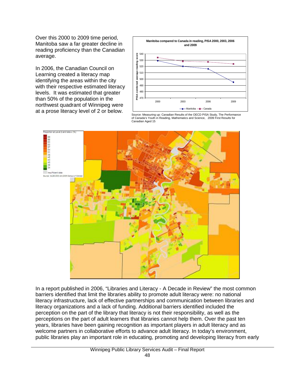Over this 2000 to 2009 time period, Manitoba saw a far greater decline in reading proficiency than the Canadian average.

In 2006, the Canadian Council on Learning created a literacy map identifying the areas within the city with their respective estimated literacy levels. It was estimated that greater than 50% of the population in the northwest quadrant of Winnipeg were at a prose literacy level of 2 or below.



Source: Measuring up: Canadian Results of the OECD PISA Study, The Performance of Canada's Youth in Reading, Mathematics and Science, 2009 First Results for Canadian Aged 15



In a report published in 2006, "Libraries and Literacy - A Decade in Review" the most common barriers identified that limit the libraries ability to promote adult literacy were: no national literacy infrastructure, lack of effective partnerships and communication between libraries and literacy organizations and a lack of funding. Additional barriers identified included the perception on the part of the library that literacy is not their responsibility, as well as the perceptions on the part of adult learners that libraries cannot help them. Over the past ten years, libraries have been gaining recognition as important players in adult literacy and as welcome partners in collaborative efforts to advance adult literacy. In today's environment, public libraries play an important role in educating, promoting and developing literacy from early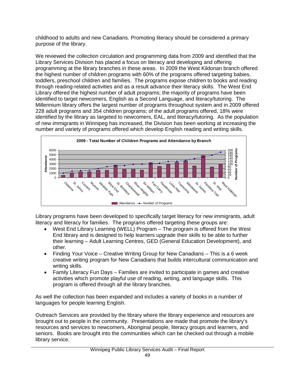childhood to adults and new Canadians. Promoting literacy should be considered a primary purpose of the library.

We reviewed the collection circulation and programming data from 2009 and identified that the Library Services Division has placed a focus on literacy and developing and offering programming at the library branches in these areas. In 2009 the West Kildonan branch offered the highest number of children programs with 60% of the programs offered targeting babies, toddlers, preschool children and families. The programs expose children to books and reading through reading-related activities and as a result advance their literacy skills. The West End Library offered the highest number of adult programs; the majority of programs have been identified to target newcomers, English as a Second Language, and literacy/tutoring. The Millennium library offers the largest number of programs throughout system and in 2009 offered 228 adult programs and 354 children programs; of the adult programs offered, 18% were identified by the library as targeted to newcomers, EAL, and literacy/tutoring. As the population of new immigrants in Winnipeg has increased, the Division has been working at increasing the number and variety of programs offered which develop English reading and writing skills.



Library programs have been developed to specifically target literacy for new immigrants, adult literacy and literacy for families. The programs offered targeting these groups are:

- West End Library Learning (WELL) Program The program is offered from the West End library and is designed to help learners upgrade their skills to be able to further their learning – Adult Learning Centres, GED (General Education Development), and other.
- Finding Your Voice Creative Writing Group for New Canadians This is a 6 week creative writing program for New Canadians that builds intercultural communication and writing skills.
- Family Literacy Fun Days Families are invited to participate in games and creative activities which promote playful use of reading, writing, and language skills. This program is offered through all the library branches.

As well the collection has been expanded and includes a variety of books in a number of languages for people learning English.

Outreach Services are provided by the library where the library experience and resources are brought out to people in the community. Presentations are made that promote the library's resources and services to newcomers, Aboriginal people, literacy groups and learners, and seniors. Books are brought into the communities which can be checked out through a mobile library service.